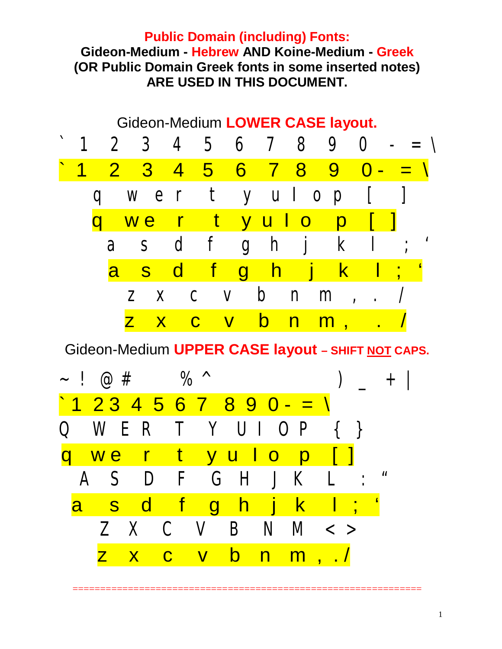# **Public Domain (including) Fonts: Gideon-Medium - Hebrew AND Koine-Medium - Greek (OR Public Domain Greek fonts in some inserted notes) ARE USED IN THIS DOCUMENT.**



Gideon-Medium **UPPER CASE layout – SHIFT NOT CAPS.**



===============================================================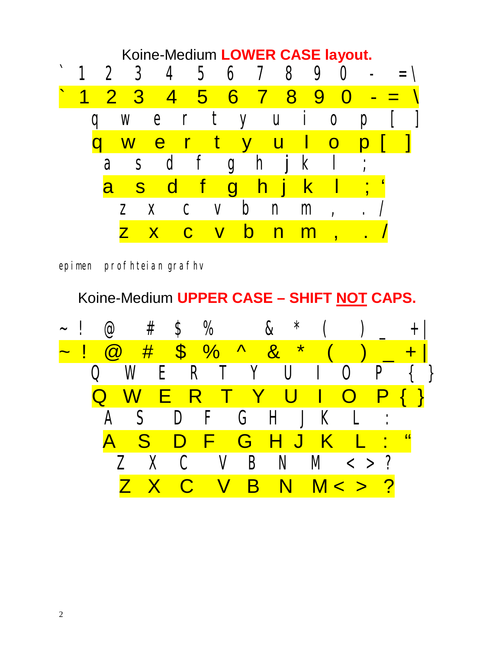

epimen profhteian grafhv

# Koine-Medium **UPPER CASE – SHIFT NOT CAPS.**

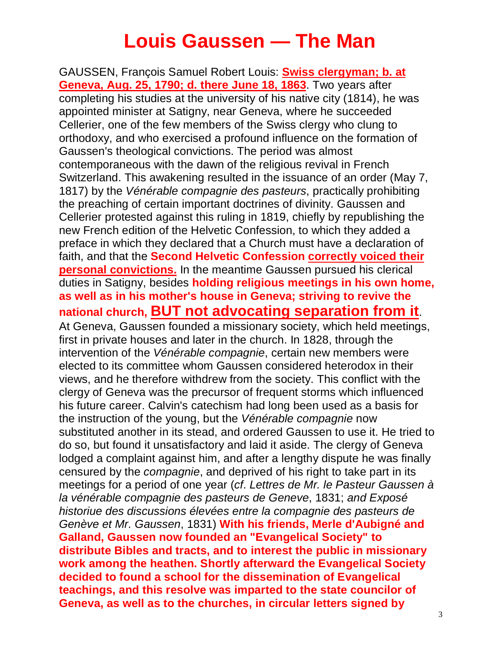# **Louis Gaussen — The Man**

GAUSSEN, François Samuel Robert Louis: **Swiss clergyman; b. at Geneva, Aug. 25, 1790; d. there June 18, 1863**. Two years after completing his studies at the university of his native city (1814), he was appointed minister at Satigny, near Geneva, where he succeeded Cellerier, one of the few members of the Swiss clergy who clung to orthodoxy, and who exercised a profound influence on the formation of Gaussen's theological convictions. The period was almost contemporaneous with the dawn of the religious revival in French Switzerland. This awakening resulted in the issuance of an order (May 7, 1817) by the *Vénérable compagnie des pasteurs*, practically prohibiting the preaching of certain important doctrines of divinity. Gaussen and Cellerier protested against this ruling in 1819, chiefly by republishing the new French edition of the Helvetic Confession, to which they added a preface in which they declared that a Church must have a declaration of faith, and that the **Second Helvetic Confession correctly voiced their personal convictions.** In the meantime Gaussen pursued his clerical duties in Satigny, besides **holding religious meetings in his own home, as well as in his mother's house in Geneva; striving to revive the national church, BUT not advocating separation from it**. At Geneva, Gaussen founded a missionary society, which held meetings, first in private houses and later in the church. In 1828, through the intervention of the *Vénérable compagnie*, certain new members were elected to its committee whom Gaussen considered heterodox in their views, and he therefore withdrew from the society. This conflict with the clergy of Geneva was the precursor of frequent storms which influenced his future career. Calvin's catechism had long been used as a basis for the instruction of the young, but the *Vénérable compagnie* now substituted another in its stead, and ordered Gaussen to use it. He tried to do so, but found it unsatisfactory and laid it aside. The clergy of Geneva lodged a complaint against him, and after a lengthy dispute he was finally censured by the *compagnie*, and deprived of his right to take part in its meetings for a period of one year (*cf*. *Lettres de Mr. le Pasteur Gaussen à la vénérable compagnie des pasteurs de Geneve*, 1831; *and Exposé historiue des discussions élevées entre la compagnie des pasteurs de Genève et Mr. Gaussen*, 1831) **With his friends, Merle d'Aubigné and Galland, Gaussen now founded an "Evangelical Society" to distribute Bibles and tracts, and to interest the public in missionary work among the heathen. Shortly afterward the Evangelical Society decided to found a school for the dissemination of Evangelical teachings, and this resolve was imparted to the state councilor of Geneva, as well as to the churches, in circular letters signed by**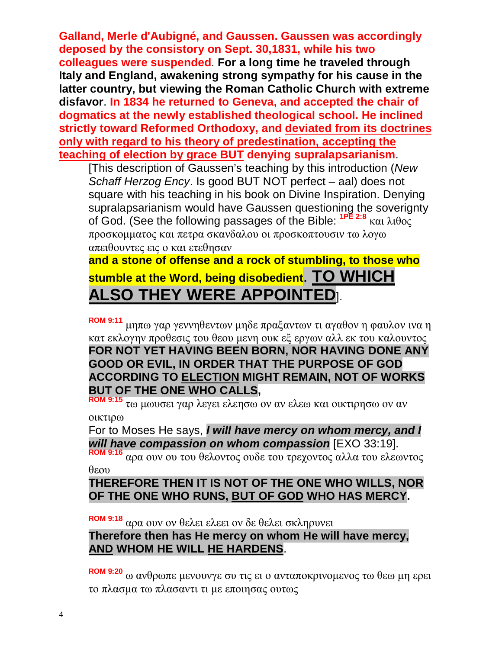**Galland, Merle d'Aubigné, and Gaussen. Gaussen was accordingly deposed by the consistory on Sept. 30,1831, while his two colleagues were suspended**. **For a long time he traveled through Italy and England, awakening strong sympathy for his cause in the latter country, but viewing the Roman Catholic Church with extreme disfavor**. **In 1834 he returned to Geneva, and accepted the chair of dogmatics at the newly established theological school. He inclined strictly toward Reformed Orthodoxy, and deviated from its doctrines only with regard to his theory of predestination, accepting the teaching of election by grace BUT denying supralapsarianism**.

[This description of Gaussen's teaching by this introduction (*New Schaff Herzog Ency*. Is good BUT NOT perfect – aal) does not square with his teaching in his book on Divine Inspiration. Denying supralapsarianism would have Gaussen questioning the soverignty of God. (See the following passages of the Bible: **1P<sup>Ε</sup> 2:8** και λιθος προσκομματος και πετρα σκανδαλου οι προσκοπτουσιν τω λογω απειθουντες εις ο και ετεθησαν

**and a stone of offense and a rock of stumbling, to those who stumble at the Word, being disobedient**. **TO WHICH ALSO THEY WERE APPOINTED**].

**ROM 9:11** μηπω γαρ γεννηθεντων μηδε πραξαντων τι αγαθον η φαυλον ινα η κατ εκλογην προθεσις του θεου μενη ουκ εξ εργων αλλ εκ του καλουντος **FOR NOT YET HAVING BEEN BORN, NOR HAVING DONE ANY GOOD OR EVIL, IN ORDER THAT THE PURPOSE OF GOD ACCORDING TO ELECTION MIGHT REMAIN, NOT OF WORKS BUT OF THE ONE WHO CALLS,**

**ROM 9:15** τω μωυσει γαρ λεγει ελεησω ον αν ελεω και οικτιρησω ον αν οικτιρω

For to Moses He says, *I will have mercy on whom mercy, and I will have compassion on whom compassion* [EXO 33:19].

**ROM 9:16** αρα ουν ου του θελοντος ουδε του τρεχοντος αλλα του ελεωντος θεου

# **THEREFORE THEN IT IS NOT OF THE ONE WHO WILLS, NOR OF THE ONE WHO RUNS, BUT OF GOD WHO HAS MERCY.**

### **ROM 9:18** αρα ουν ον θελει ελεει ον δε θελει σκληρυνει **Therefore then has He mercy on whom He will have mercy, AND WHOM HE WILL HE HARDENS**.

**ROM 9:20** ω ανθρωπε μενουνγε συ τις ει ο ανταποκρινομενος τω θεω μη ερει το πλασμα τω πλασαντι τι με εποιησας ουτως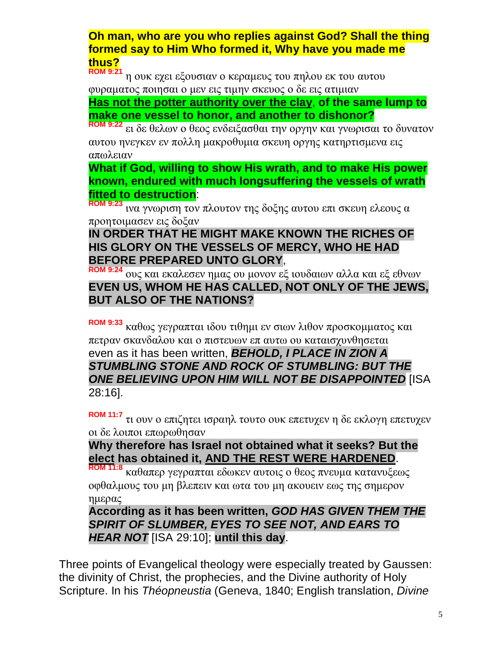**Oh man, who are you who replies against God? Shall the thing formed say to Him Who formed it, Why have you made me thus?**

**ROM 9:21** η ουκ εχει εξουσιαν ο κεραμευς του πηλου εκ του αυτου φυραματος ποιησαι ο μεν εις τιμην σκευος ο δε εις ατιμιαν

**Has not the potter authority over the clay**, **of the same lump to make one vessel to honor, and another to dishonor?**

**ROM 9:22** ει δε θελων ο θεος ενδειξασθαι την οργην και γνωρισαι το δυνατον αυτου ηνεγκεν εν πολλη μακροθυμια σκευη οργης κατηρτισμενα εις απωλειαν

**What if God, willing to show His wrath, and to make His power known, endured with much longsuffering the vessels of wrath fitted to destruction**:

**ROM 9:23** ινα γνωριση τον πλουτον της δοξης αυτου επι σκευη ελεους α προητοιμασεν εις δοξαν

#### **IN ORDER THAT HE MIGHT MAKE KNOWN THE RICHES OF HIS GLORY ON THE VESSELS OF MERCY, WHO HE HAD BEFORE PREPARED UNTO GLORY**,

**ROM 9:24** ους και εκαλεσεν ημας ου μονον εξ ιουδαιων αλλα και εξ εθνων **EVEN US, WHOM HE HAS CALLED, NOT ONLY OF THE JEWS, BUT ALSO OF THE NATIONS?**

**ROM 9:33** καθως γεγραπται ιδου τιθημι εν σιων λιθον προσκομματος και πετραν σκανδαλου και ο πιστευων επ αυτω ου καταισχυνθησεται even as it has been written, *BEHOLD, I PLACE IN ZION A STUMBLING STONE AND ROCK OF STUMBLING: BUT THE ONE BELIEVING UPON HIM WILL NOT BE DISAPPOINTED* [ISA 28:16].

**ROM 11:7** τι ουν ο επιζητει ισραηλ τουτο ουκ επετυχεν η δε εκλογη επετυχεν οι δε λοιποι επωρωθησαν

### **Why therefore has Israel not obtained what it seeks? But the elect has obtained it, AND THE REST WERE HARDENED**.

**ROM 11:8** καθαπερ γεγραπται εδωκεν αυτοις ο θεος πνευμα κατανυξεως οφθαλμους του μη βλεπειν και ωτα του μη ακουειν εως της σημερον ημερας

# **According as it has been written,** *GOD HAS GIVEN THEM THE SPIRIT OF SLUMBER, EYES TO SEE NOT, AND EARS TO HEAR NOT* [ISA 29:10]; **until this day**.

Three points of Evangelical theology were especially treated by Gaussen: the divinity of Christ, the prophecies, and the Divine authority of Holy Scripture. In his *Théopneustia* (Geneva, 1840; English translation, *Divine*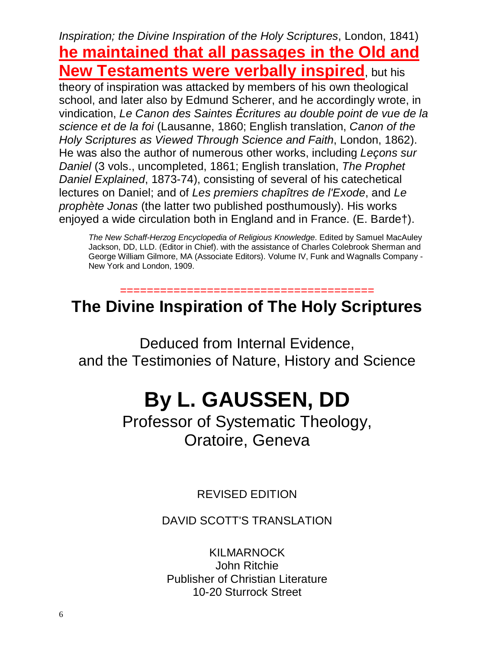*Inspiration; the Divine Inspiration of the Holy Scriptures*, London, 1841) **he maintained that all passages in the Old and New Testaments were verbally inspired**, but his

theory of inspiration was attacked by members of his own theological school, and later also by Edmund Scherer, and he accordingly wrote, in vindication, *Le Canon des Saintes Ėcritures au double point de vue de la science et de la foi* (Lausanne, 1860; English translation, *Canon of the Holy Scriptures as Viewed Through Science and Faith*, London, 1862). He was also the author of numerous other works, including *Leçons sur Daniel* (3 vols., uncompleted, 1861; English translation, *The Prophet Daniel Explained*, 1873-74), consisting of several of his catechetical lectures on Daniel; and of *Les premiers chapîtres de l'Exode*, and *Le prophète Jonas* (the latter two published posthumously). His works enjoyed a wide circulation both in England and in France. (E. Barde†).

*The New Schaff-Herzog Encyclopedia of Religious Knowledge*. Edited by Samuel MacAuley Jackson, DD, LLD. (Editor in Chief). with the assistance of Charles Colebrook Sherman and George William Gilmore, MA (Associate Editors). Volume IV, Funk and Wagnalls Company - New York and London, 1909.

# ====================================== **The Divine Inspiration of The Holy Scriptures**

Deduced from Internal Evidence, and the Testimonies of Nature, History and Science

# **By L. GAUSSEN, DD**

Professor of Systematic Theology, Oratoire, Geneva

REVISED EDITION

DAVID SCOTT'S TRANSLATION

KILMARNOCK John Ritchie Publisher of Christian Literature 10-20 Sturrock Street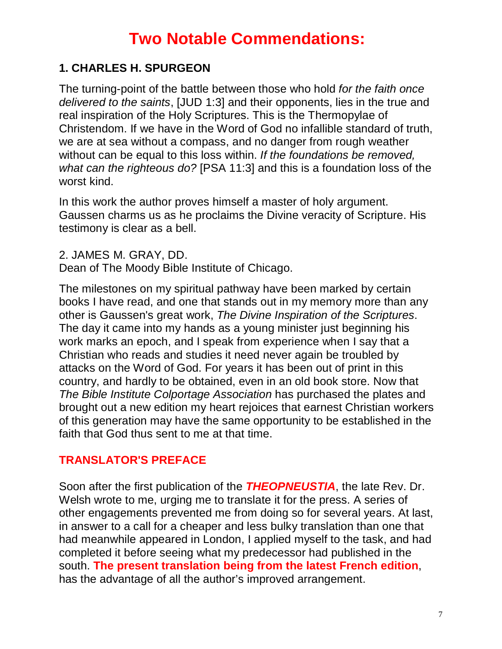# **Two Notable Commendations:**

# **1. CHARLES H. SPURGEON**

The turning-point of the battle between those who hold *for the faith once delivered to the saints*, [JUD 1:3] and their opponents, lies in the true and real inspiration of the Holy Scriptures. This is the Thermopylae of Christendom. If we have in the Word of God no infallible standard of truth, we are at sea without a compass, and no danger from rough weather without can be equal to this loss within. *If the foundations be removed, what can the righteous do?* [PSA 11:3] and this is a foundation loss of the worst kind.

In this work the author proves himself a master of holy argument. Gaussen charms us as he proclaims the Divine veracity of Scripture. His testimony is clear as a bell.

2. JAMES M. GRAY, DD.

Dean of The Moody Bible Institute of Chicago.

The milestones on my spiritual pathway have been marked by certain books I have read, and one that stands out in my memory more than any other is Gaussen's great work, *The Divine Inspiration of the Scriptures*. The day it came into my hands as a young minister just beginning his work marks an epoch, and I speak from experience when I say that a Christian who reads and studies it need never again be troubled by attacks on the Word of God. For years it has been out of print in this country, and hardly to be obtained, even in an old book store. Now that *The Bible Institute Colportage Association* has purchased the plates and brought out a new edition my heart rejoices that earnest Christian workers of this generation may have the same opportunity to be established in the faith that God thus sent to me at that time.

# **TRANSLATOR'S PREFACE**

Soon after the first publication of the *THEOPNEUSTIA*, the late Rev. Dr. Welsh wrote to me, urging me to translate it for the press. A series of other engagements prevented me from doing so for several years. At last, in answer to a call for a cheaper and less bulky translation than one that had meanwhile appeared in London, I applied myself to the task, and had completed it before seeing what my predecessor had published in the south. **The present translation being from the latest French edition**, has the advantage of all the author's improved arrangement.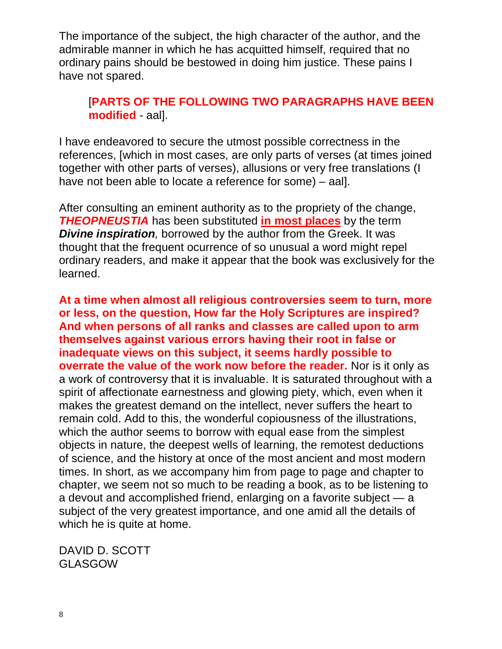The importance of the subject, the high character of the author, and the admirable manner in which he has acquitted himself, required that no ordinary pains should be bestowed in doing him justice. These pains I have not spared.

### [**PARTS OF THE FOLLOWING TWO PARAGRAPHS HAVE BEEN modified** - aal].

I have endeavored to secure the utmost possible correctness in the references, [which in most cases, are only parts of verses (at times joined together with other parts of verses), allusions or very free translations (I have not been able to locate a reference for some) – aal].

After consulting an eminent authority as to the propriety of the change, *THEOPNEUSTIA* has been substituted **in most places** by the term *Divine inspiration,* borrowed by the author from the Greek. It was thought that the frequent ocurrence of so unusual a word might repel ordinary readers, and make it appear that the book was exclusively for the learned.

**At a time when almost all religious controversies seem to turn, more or less, on the question, How far the Holy Scriptures are inspired? And when persons of all ranks and classes are called upon to arm themselves against various errors having their root in false or inadequate views on this subject, it seems hardly possible to overrate the value of the work now before the reader.** Nor is it only as a work of controversy that it is invaluable. It is saturated throughout with a spirit of affectionate earnestness and glowing piety, which, even when it makes the greatest demand on the intellect, never suffers the heart to remain cold. Add to this, the wonderful copiousness of the illustrations, which the author seems to borrow with equal ease from the simplest objects in nature, the deepest wells of learning, the remotest deductions of science, and the history at once of the most ancient and most modern times. In short, as we accompany him from page to page and chapter to chapter, we seem not so much to be reading a book, as to be listening to a devout and accomplished friend, enlarging on a favorite subject — a subject of the very greatest importance, and one amid all the details of which he is quite at home.

DAVID D. SCOTT GLASGOW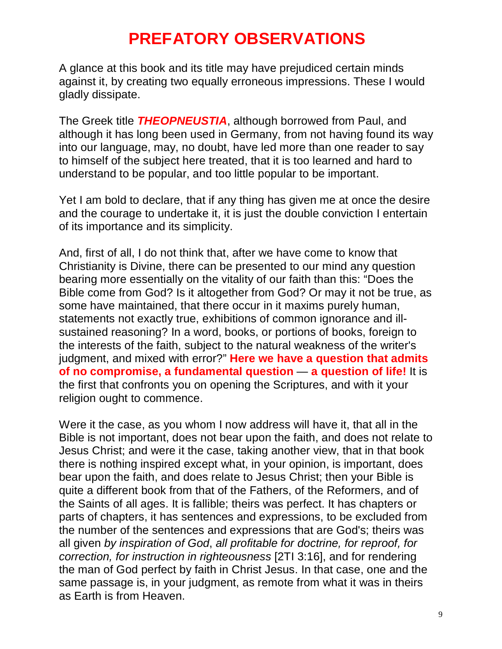# **PREFATORY OBSERVATIONS**

A glance at this book and its title may have prejudiced certain minds against it, by creating two equally erroneous impressions. These I would gladly dissipate.

The Greek title *THEOPNEUSTIA*, although borrowed from Paul, and although it has long been used in Germany, from not having found its way into our language, may, no doubt, have led more than one reader to say to himself of the subject here treated, that it is too learned and hard to understand to be popular, and too little popular to be important.

Yet I am bold to declare, that if any thing has given me at once the desire and the courage to undertake it, it is just the double conviction I entertain of its importance and its simplicity.

And, first of all, I do not think that, after we have come to know that Christianity is Divine, there can be presented to our mind any question bearing more essentially on the vitality of our faith than this: "Does the Bible come from God? Is it altogether from God? Or may it not be true, as some have maintained, that there occur in it maxims purely human, statements not exactly true, exhibitions of common ignorance and illsustained reasoning? In a word, books, or portions of books, foreign to the interests of the faith, subject to the natural weakness of the writer's judgment, and mixed with error?" **Here we have a question that admits of no compromise, a fundamental question** — **a question of life!** It is the first that confronts you on opening the Scriptures, and with it your religion ought to commence.

Were it the case, as you whom I now address will have it, that all in the Bible is not important, does not bear upon the faith, and does not relate to Jesus Christ; and were it the case, taking another view, that in that book there is nothing inspired except what, in your opinion, is important, does bear upon the faith, and does relate to Jesus Christ; then your Bible is quite a different book from that of the Fathers, of the Reformers, and of the Saints of all ages. It is fallible; theirs was perfect. It has chapters or parts of chapters, it has sentences and expressions, to be excluded from the number of the sentences and expressions that are God's; theirs was all given *by inspiration of God*, *all profitable for doctrine, for reproof, for correction, for instruction in righteousness* [2TI 3:16], and for rendering the man of God perfect by faith in Christ Jesus. In that case, one and the same passage is, in your judgment, as remote from what it was in theirs as Earth is from Heaven.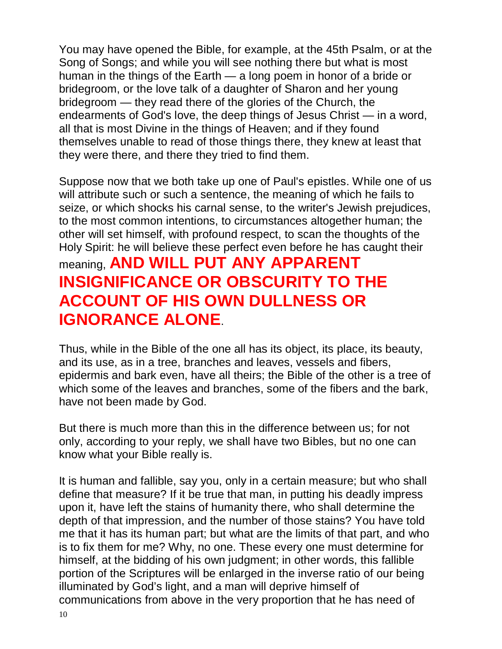You may have opened the Bible, for example, at the 45th Psalm, or at the Song of Songs; and while you will see nothing there but what is most human in the things of the Earth — a long poem in honor of a bride or bridegroom, or the love talk of a daughter of Sharon and her young bridegroom — they read there of the glories of the Church, the endearments of God's love, the deep things of Jesus Christ — in a word, all that is most Divine in the things of Heaven; and if they found themselves unable to read of those things there, they knew at least that they were there, and there they tried to find them.

Suppose now that we both take up one of Paul's epistles. While one of us will attribute such or such a sentence, the meaning of which he fails to seize, or which shocks his carnal sense, to the writer's Jewish prejudices, to the most common intentions, to circumstances altogether human; the other will set himself, with profound respect, to scan the thoughts of the Holy Spirit: he will believe these perfect even before he has caught their meaning, **AND WILL PUT ANY APPARENT INSIGNIFICANCE OR OBSCURITY TO THE ACCOUNT OF HIS OWN DULLNESS OR IGNORANCE ALONE**.

Thus, while in the Bible of the one all has its object, its place, its beauty, and its use, as in a tree, branches and leaves, vessels and fibers, epidermis and bark even, have all theirs; the Bible of the other is a tree of which some of the leaves and branches, some of the fibers and the bark, have not been made by God.

But there is much more than this in the difference between us; for not only, according to your reply, we shall have two Bibles, but no one can know what your Bible really is.

It is human and fallible, say you, only in a certain measure; but who shall define that measure? If it be true that man, in putting his deadly impress upon it, have left the stains of humanity there, who shall determine the depth of that impression, and the number of those stains? You have told me that it has its human part; but what are the limits of that part, and who is to fix them for me? Why, no one. These every one must determine for himself, at the bidding of his own judgment; in other words, this fallible portion of the Scriptures will be enlarged in the inverse ratio of our being illuminated by God's light, and a man will deprive himself of communications from above in the very proportion that he has need of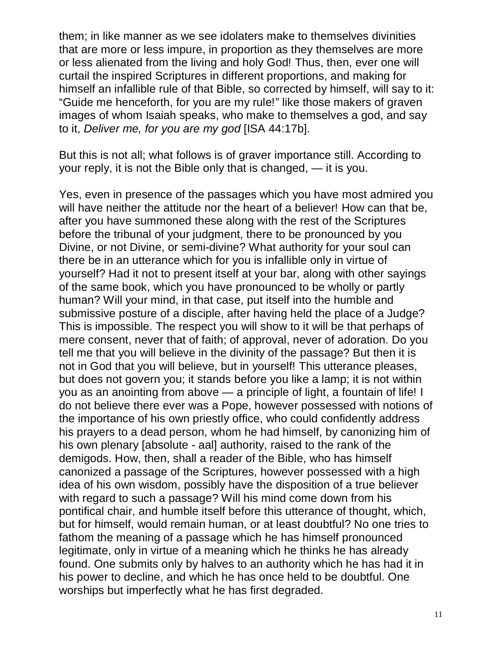them; in like manner as we see idolaters make to themselves divinities that are more or less impure, in proportion as they themselves are more or less alienated from the living and holy God! Thus, then, ever one will curtail the inspired Scriptures in different proportions, and making for himself an infallible rule of that Bible, so corrected by himself, will say to it: "Guide me henceforth, for you are my rule!" like those makers of graven images of whom Isaiah speaks, who make to themselves a god, and say to it, *Deliver me, for you are my god* [ISA 44:17b].

But this is not all; what follows is of graver importance still. According to your reply, it is not the Bible only that is changed, — it is you.

Yes, even in presence of the passages which you have most admired you will have neither the attitude nor the heart of a believer! How can that be, after you have summoned these along with the rest of the Scriptures before the tribunal of your judgment, there to be pronounced by you Divine, or not Divine, or semi-divine? What authority for your soul can there be in an utterance which for you is infallible only in virtue of yourself? Had it not to present itself at your bar, along with other sayings of the same book, which you have pronounced to be wholly or partly human? Will your mind, in that case, put itself into the humble and submissive posture of a disciple, after having held the place of a Judge? This is impossible. The respect you will show to it will be that perhaps of mere consent, never that of faith; of approval, never of adoration. Do you tell me that you will believe in the divinity of the passage? But then it is not in God that you will believe, but in yourself! This utterance pleases, but does not govern you; it stands before you like a lamp; it is not within you as an anointing from above — a principle of light, a fountain of life! I do not believe there ever was a Pope, however possessed with notions of the importance of his own priestly office, who could confidently address his prayers to a dead person, whom he had himself, by canonizing him of his own plenary [absolute - aal] authority, raised to the rank of the demigods. How, then, shall a reader of the Bible, who has himself canonized a passage of the Scriptures, however possessed with a high idea of his own wisdom, possibly have the disposition of a true believer with regard to such a passage? Will his mind come down from his pontifical chair, and humble itself before this utterance of thought, which, but for himself, would remain human, or at least doubtful? No one tries to fathom the meaning of a passage which he has himself pronounced legitimate, only in virtue of a meaning which he thinks he has already found. One submits only by halves to an authority which he has had it in his power to decline, and which he has once held to be doubtful. One worships but imperfectly what he has first degraded.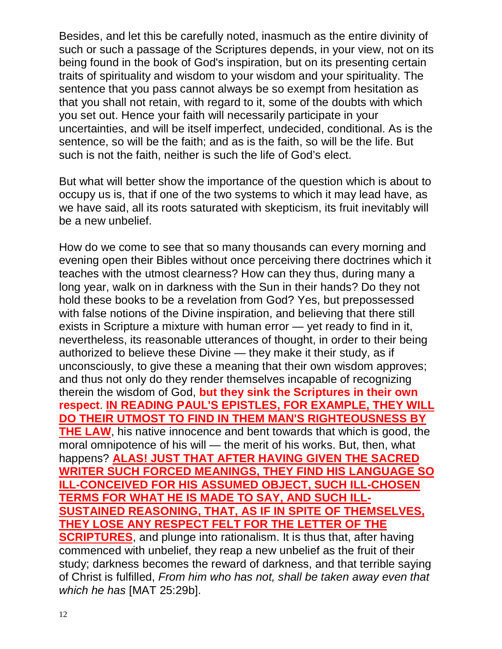Besides, and let this be carefully noted, inasmuch as the entire divinity of such or such a passage of the Scriptures depends, in your view, not on its being found in the book of God's inspiration, but on its presenting certain traits of spirituality and wisdom to your wisdom and your spirituality. The sentence that you pass cannot always be so exempt from hesitation as that you shall not retain, with regard to it, some of the doubts with which you set out. Hence your faith will necessarily participate in your uncertainties, and will be itself imperfect, undecided, conditional. As is the sentence, so will be the faith; and as is the faith, so will be the life. But such is not the faith, neither is such the life of God's elect.

But what will better show the importance of the question which is about to occupy us is, that if one of the two systems to which it may lead have, as we have said, all its roots saturated with skepticism, its fruit inevitably will be a new unbelief.

How do we come to see that so many thousands can every morning and evening open their Bibles without once perceiving there doctrines which it teaches with the utmost clearness? How can they thus, during many a long year, walk on in darkness with the Sun in their hands? Do they not hold these books to be a revelation from God? Yes, but prepossessed with false notions of the Divine inspiration, and believing that there still exists in Scripture a mixture with human error — yet ready to find in it, nevertheless, its reasonable utterances of thought, in order to their being authorized to believe these Divine — they make it their study, as if unconsciously, to give these a meaning that their own wisdom approves; and thus not only do they render themselves incapable of recognizing therein the wisdom of God, **but they sink the Scriptures in their own respect**. **IN READING PAUL'S EPISTLES, FOR EXAMPLE, THEY WILL DO THEIR UTMOST TO FIND IN THEM MAN'S RIGHTEOUSNESS BY THE LAW**, his native innocence and bent towards that which is good, the moral omnipotence of his will — the merit of his works. But, then, what happens? **ALAS! JUST THAT AFTER HAVING GIVEN THE SACRED WRITER SUCH FORCED MEANINGS, THEY FIND HIS LANGUAGE SO ILL-CONCEIVED FOR HIS ASSUMED OBJECT, SUCH ILL-CHOSEN TERMS FOR WHAT HE IS MADE TO SAY, AND SUCH ILL-SUSTAINED REASONING, THAT, AS IF IN SPITE OF THEMSELVES, THEY LOSE ANY RESPECT FELT FOR THE LETTER OF THE SCRIPTURES**, and plunge into rationalism. It is thus that, after having commenced with unbelief, they reap a new unbelief as the fruit of their study; darkness becomes the reward of darkness, and that terrible saying of Christ is fulfilled, *From him who has not, shall be taken away even that which he has* [MAT 25:29b].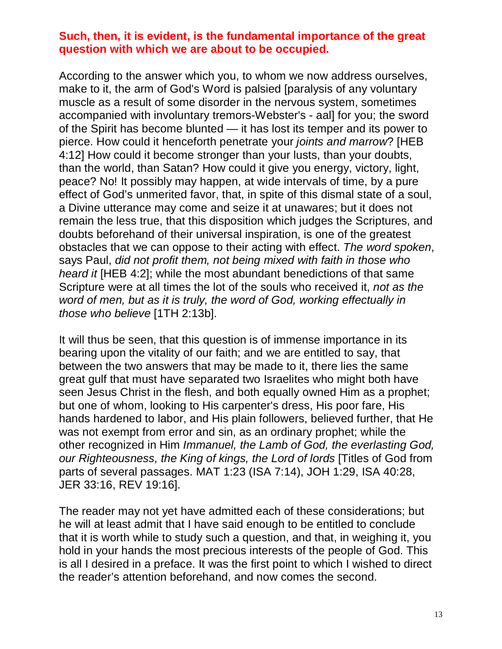#### **Such, then, it is evident, is the fundamental importance of the great question with which we are about to be occupied.**

According to the answer which you, to whom we now address ourselves, make to it, the arm of God's Word is palsied [paralysis of any voluntary muscle as a result of some disorder in the nervous system, sometimes accompanied with involuntary tremors-Webster's - aal] for you; the sword of the Spirit has become blunted — it has lost its temper and its power to pierce. How could it henceforth penetrate your *joints and marrow*? [HEB 4:12] How could it become stronger than your lusts, than your doubts, than the world, than Satan? How could it give you energy, victory, light, peace? No! It possibly may happen, at wide intervals of time, by a pure effect of God's unmerited favor, that, in spite of this dismal state of a soul, a Divine utterance may come and seize it at unawares; but it does not remain the less true, that this disposition which judges the Scriptures, and doubts beforehand of their universal inspiration, is one of the greatest obstacles that we can oppose to their acting with effect. *The word spoken*, says Paul, *did not profit them, not being mixed with faith in those who heard it* [HEB 4:2]; while the most abundant benedictions of that same Scripture were at all times the lot of the souls who received it, *not as the word of men, but as it is truly, the word of God, working effectually in those who believe* [1TH 2:13b].

It will thus be seen, that this question is of immense importance in its bearing upon the vitality of our faith; and we are entitled to say, that between the two answers that may be made to it, there lies the same great gulf that must have separated two Israelites who might both have seen Jesus Christ in the flesh, and both equally owned Him as a prophet; but one of whom, looking to His carpenter's dress, His poor fare, His hands hardened to labor, and His plain followers, believed further, that He was not exempt from error and sin, as an ordinary prophet; while the other recognized in Him *Immanuel, the Lamb of God, the everlasting God, our Righteousness, the King of kings, the Lord of lords* [Titles of God from parts of several passages. MAT 1:23 (ISA 7:14), JOH 1:29, ISA 40:28, JER 33:16, REV 19:16].

The reader may not yet have admitted each of these considerations; but he will at least admit that I have said enough to be entitled to conclude that it is worth while to study such a question, and that, in weighing it, you hold in your hands the most precious interests of the people of God. This is all I desired in a preface. It was the first point to which I wished to direct the reader's attention beforehand, and now comes the second.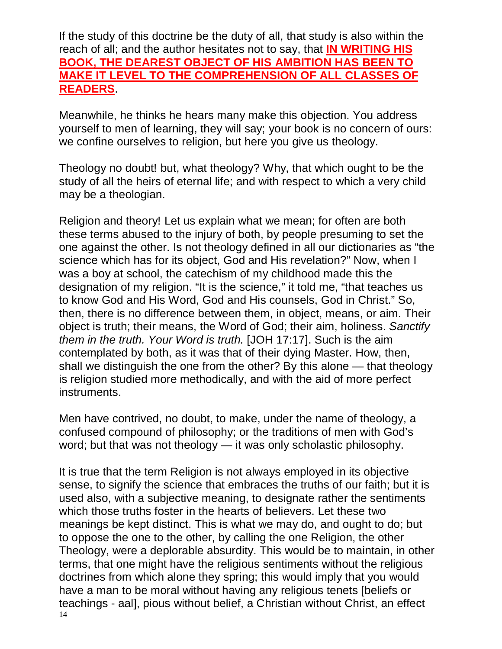#### If the study of this doctrine be the duty of all, that study is also within the reach of all; and the author hesitates not to say, that **IN WRITING HIS BOOK, THE DEAREST OBJECT OF HIS AMBITION HAS BEEN TO MAKE IT LEVEL TO THE COMPREHENSION OF ALL CLASSES OF READERS**.

Meanwhile, he thinks he hears many make this objection. You address yourself to men of learning, they will say; your book is no concern of ours: we confine ourselves to religion, but here you give us theology.

Theology no doubt! but, what theology? Why, that which ought to be the study of all the heirs of eternal life; and with respect to which a very child may be a theologian.

Religion and theory! Let us explain what we mean; for often are both these terms abused to the injury of both, by people presuming to set the one against the other. Is not theology defined in all our dictionaries as "the science which has for its object, God and His revelation?" Now, when I was a boy at school, the catechism of my childhood made this the designation of my religion. "It is the science," it told me, "that teaches us to know God and His Word, God and His counsels, God in Christ." So, then, there is no difference between them, in object, means, or aim. Their object is truth; their means, the Word of God; their aim, holiness. *Sanctify them in the truth. Your Word is truth.* [JOH 17:17]. Such is the aim contemplated by both, as it was that of their dying Master. How, then, shall we distinguish the one from the other? By this alone — that theology is religion studied more methodically, and with the aid of more perfect instruments.

Men have contrived, no doubt, to make, under the name of theology, a confused compound of philosophy; or the traditions of men with God's word; but that was not theology — it was only scholastic philosophy.

14 It is true that the term Religion is not always employed in its objective sense, to signify the science that embraces the truths of our faith; but it is used also, with a subjective meaning, to designate rather the sentiments which those truths foster in the hearts of believers. Let these two meanings be kept distinct. This is what we may do, and ought to do; but to oppose the one to the other, by calling the one Religion, the other Theology, were a deplorable absurdity. This would be to maintain, in other terms, that one might have the religious sentiments without the religious doctrines from which alone they spring; this would imply that you would have a man to be moral without having any religious tenets [beliefs or teachings - aal], pious without belief, a Christian without Christ, an effect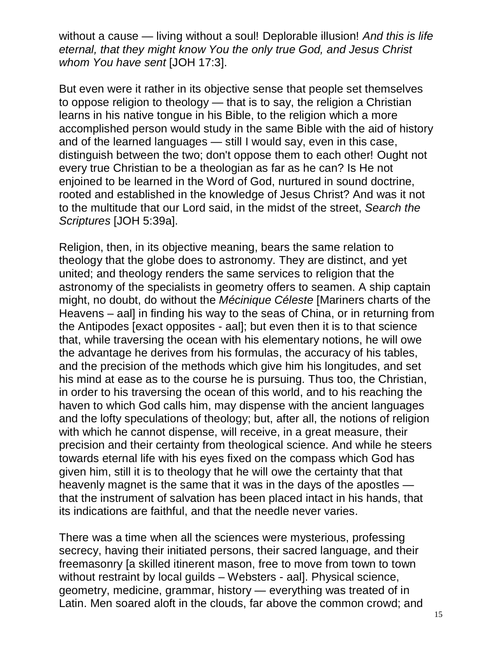without a cause — living without a soul! Deplorable illusion! *And this is life eternal, that they might know You the only true God, and Jesus Christ whom You have sent* [JOH 17:3].

But even were it rather in its objective sense that people set themselves to oppose religion to theology — that is to say, the religion a Christian learns in his native tongue in his Bible, to the religion which a more accomplished person would study in the same Bible with the aid of history and of the learned languages — still I would say, even in this case, distinguish between the two; don't oppose them to each other! Ought not every true Christian to be a theologian as far as he can? Is He not enjoined to be learned in the Word of God, nurtured in sound doctrine, rooted and established in the knowledge of Jesus Christ? And was it not to the multitude that our Lord said, in the midst of the street, *Search the Scriptures* [JOH 5:39a].

Religion, then, in its objective meaning, bears the same relation to theology that the globe does to astronomy. They are distinct, and yet united; and theology renders the same services to religion that the astronomy of the specialists in geometry offers to seamen. A ship captain might, no doubt, do without the *Mécinique Céleste* [Mariners charts of the Heavens – aal] in finding his way to the seas of China, or in returning from the Antipodes [exact opposites - aal]; but even then it is to that science that, while traversing the ocean with his elementary notions, he will owe the advantage he derives from his formulas, the accuracy of his tables, and the precision of the methods which give him his longitudes, and set his mind at ease as to the course he is pursuing. Thus too, the Christian, in order to his traversing the ocean of this world, and to his reaching the haven to which God calls him, may dispense with the ancient languages and the lofty speculations of theology; but, after all, the notions of religion with which he cannot dispense, will receive, in a great measure, their precision and their certainty from theological science. And while he steers towards eternal life with his eyes fixed on the compass which God has given him, still it is to theology that he will owe the certainty that that heavenly magnet is the same that it was in the days of the apostles that the instrument of salvation has been placed intact in his hands, that its indications are faithful, and that the needle never varies.

There was a time when all the sciences were mysterious, professing secrecy, having their initiated persons, their sacred language, and their freemasonry [a skilled itinerent mason, free to move from town to town without restraint by local guilds – Websters - aal]. Physical science, geometry, medicine, grammar, history — everything was treated of in Latin. Men soared aloft in the clouds, far above the common crowd; and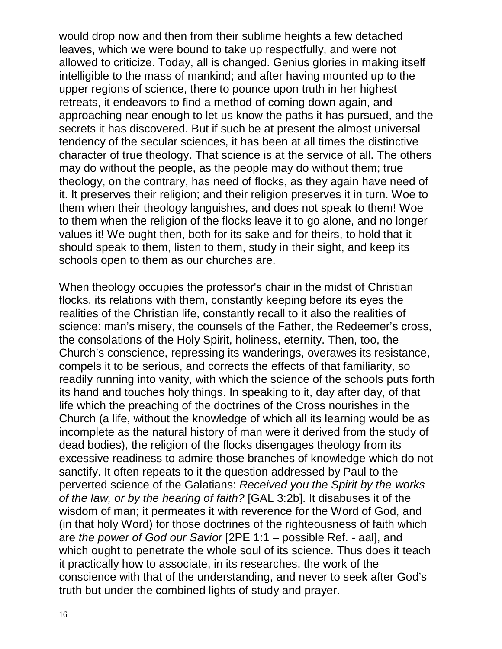would drop now and then from their sublime heights a few detached leaves, which we were bound to take up respectfully, and were not allowed to criticize. Today, all is changed. Genius glories in making itself intelligible to the mass of mankind; and after having mounted up to the upper regions of science, there to pounce upon truth in her highest retreats, it endeavors to find a method of coming down again, and approaching near enough to let us know the paths it has pursued, and the secrets it has discovered. But if such be at present the almost universal tendency of the secular sciences, it has been at all times the distinctive character of true theology. That science is at the service of all. The others may do without the people, as the people may do without them; true theology, on the contrary, has need of flocks, as they again have need of it. It preserves their religion; and their religion preserves it in turn. Woe to them when their theology languishes, and does not speak to them! Woe to them when the religion of the flocks leave it to go alone, and no longer values it! We ought then, both for its sake and for theirs, to hold that it should speak to them, listen to them, study in their sight, and keep its schools open to them as our churches are.

When theology occupies the professor's chair in the midst of Christian flocks, its relations with them, constantly keeping before its eyes the realities of the Christian life, constantly recall to it also the realities of science: man's misery, the counsels of the Father, the Redeemer's cross, the consolations of the Holy Spirit, holiness, eternity. Then, too, the Church's conscience, repressing its wanderings, overawes its resistance, compels it to be serious, and corrects the effects of that familiarity, so readily running into vanity, with which the science of the schools puts forth its hand and touches holy things. In speaking to it, day after day, of that life which the preaching of the doctrines of the Cross nourishes in the Church (a life, without the knowledge of which all its learning would be as incomplete as the natural history of man were it derived from the study of dead bodies), the religion of the flocks disengages theology from its excessive readiness to admire those branches of knowledge which do not sanctify. It often repeats to it the question addressed by Paul to the perverted science of the Galatians: *Received you the Spirit by the works of the law, or by the hearing of faith?* [GAL 3:2b]. It disabuses it of the wisdom of man; it permeates it with reverence for the Word of God, and (in that holy Word) for those doctrines of the righteousness of faith which are *the power of God our Savior* [2PE 1:1 – possible Ref. - aal], and which ought to penetrate the whole soul of its science. Thus does it teach it practically how to associate, in its researches, the work of the conscience with that of the understanding, and never to seek after God's truth but under the combined lights of study and prayer.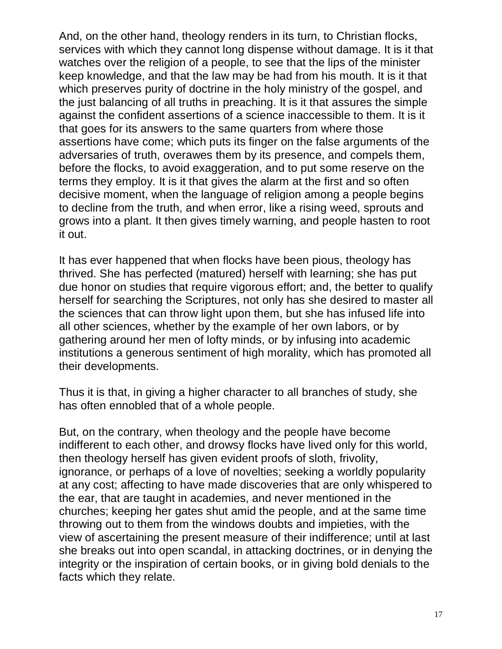And, on the other hand, theology renders in its turn, to Christian flocks, services with which they cannot long dispense without damage. It is it that watches over the religion of a people, to see that the lips of the minister keep knowledge, and that the law may be had from his mouth. It is it that which preserves purity of doctrine in the holy ministry of the gospel, and the just balancing of all truths in preaching. It is it that assures the simple against the confident assertions of a science inaccessible to them. It is it that goes for its answers to the same quarters from where those assertions have come; which puts its finger on the false arguments of the adversaries of truth, overawes them by its presence, and compels them, before the flocks, to avoid exaggeration, and to put some reserve on the terms they employ. It is it that gives the alarm at the first and so often decisive moment, when the language of religion among a people begins to decline from the truth, and when error, like a rising weed, sprouts and grows into a plant. It then gives timely warning, and people hasten to root it out.

It has ever happened that when flocks have been pious, theology has thrived. She has perfected (matured) herself with learning; she has put due honor on studies that require vigorous effort; and, the better to qualify herself for searching the Scriptures, not only has she desired to master all the sciences that can throw light upon them, but she has infused life into all other sciences, whether by the example of her own labors, or by gathering around her men of lofty minds, or by infusing into academic institutions a generous sentiment of high morality, which has promoted all their developments.

Thus it is that, in giving a higher character to all branches of study, she has often ennobled that of a whole people.

But, on the contrary, when theology and the people have become indifferent to each other, and drowsy flocks have lived only for this world, then theology herself has given evident proofs of sloth, frivolity, ignorance, or perhaps of a love of novelties; seeking a worldly popularity at any cost; affecting to have made discoveries that are only whispered to the ear, that are taught in academies, and never mentioned in the churches; keeping her gates shut amid the people, and at the same time throwing out to them from the windows doubts and impieties, with the view of ascertaining the present measure of their indifference; until at last she breaks out into open scandal, in attacking doctrines, or in denying the integrity or the inspiration of certain books, or in giving bold denials to the facts which they relate.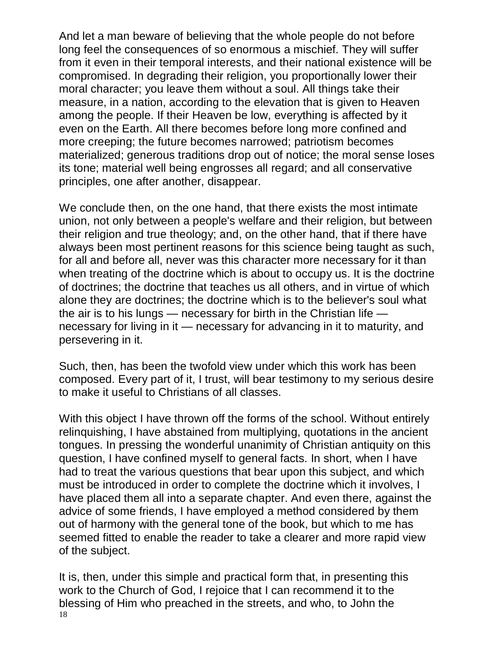And let a man beware of believing that the whole people do not before long feel the consequences of so enormous a mischief. They will suffer from it even in their temporal interests, and their national existence will be compromised. In degrading their religion, you proportionally lower their moral character; you leave them without a soul. All things take their measure, in a nation, according to the elevation that is given to Heaven among the people. If their Heaven be low, everything is affected by it even on the Earth. All there becomes before long more confined and more creeping; the future becomes narrowed; patriotism becomes materialized; generous traditions drop out of notice; the moral sense loses its tone; material well being engrosses all regard; and all conservative principles, one after another, disappear.

We conclude then, on the one hand, that there exists the most intimate union, not only between a people's welfare and their religion, but between their religion and true theology; and, on the other hand, that if there have always been most pertinent reasons for this science being taught as such, for all and before all, never was this character more necessary for it than when treating of the doctrine which is about to occupy us. It is the doctrine of doctrines; the doctrine that teaches us all others, and in virtue of which alone they are doctrines; the doctrine which is to the believer's soul what the air is to his lungs — necessary for birth in the Christian life necessary for living in it — necessary for advancing in it to maturity, and persevering in it.

Such, then, has been the twofold view under which this work has been composed. Every part of it, I trust, will bear testimony to my serious desire to make it useful to Christians of all classes.

With this object I have thrown off the forms of the school. Without entirely relinquishing, I have abstained from multiplying, quotations in the ancient tongues. In pressing the wonderful unanimity of Christian antiquity on this question, I have confined myself to general facts. In short, when I have had to treat the various questions that bear upon this subject, and which must be introduced in order to complete the doctrine which it involves, I have placed them all into a separate chapter. And even there, against the advice of some friends, I have employed a method considered by them out of harmony with the general tone of the book, but which to me has seemed fitted to enable the reader to take a clearer and more rapid view of the subject.

18 It is, then, under this simple and practical form that, in presenting this work to the Church of God, I rejoice that I can recommend it to the blessing of Him who preached in the streets, and who, to John the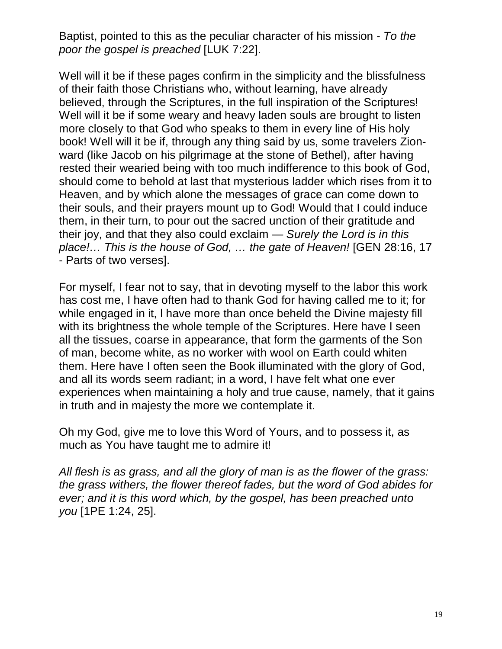Baptist, pointed to this as the peculiar character of his mission - *To the poor the gospel is preached* [LUK 7:22].

Well will it be if these pages confirm in the simplicity and the blissfulness of their faith those Christians who, without learning, have already believed, through the Scriptures, in the full inspiration of the Scriptures! Well will it be if some weary and heavy laden souls are brought to listen more closely to that God who speaks to them in every line of His holy book! Well will it be if, through any thing said by us, some travelers Zionward (like Jacob on his pilgrimage at the stone of Bethel), after having rested their wearied being with too much indifference to this book of God, should come to behold at last that mysterious ladder which rises from it to Heaven, and by which alone the messages of grace can come down to their souls, and their prayers mount up to God! Would that I could induce them, in their turn, to pour out the sacred unction of their gratitude and their joy, and that they also could exclaim — *Surely the Lord is in this place!… This is the house of God, … the gate of Heaven!* [GEN 28:16, 17 - Parts of two verses].

For myself, I fear not to say, that in devoting myself to the labor this work has cost me, I have often had to thank God for having called me to it; for while engaged in it, l have more than once beheld the Divine majesty fill with its brightness the whole temple of the Scriptures. Here have I seen all the tissues, coarse in appearance, that form the garments of the Son of man, become white, as no worker with wool on Earth could whiten them. Here have I often seen the Book illuminated with the glory of God, and all its words seem radiant; in a word, I have felt what one ever experiences when maintaining a holy and true cause, namely, that it gains in truth and in majesty the more we contemplate it.

Oh my God, give me to love this Word of Yours, and to possess it, as much as You have taught me to admire it!

*All flesh is as grass, and all the glory of man is as the flower of the grass: the grass withers, the flower thereof fades, but the word of God abides for ever; and it is this word which, by the gospel, has been preached unto you* [1PE 1:24, 25].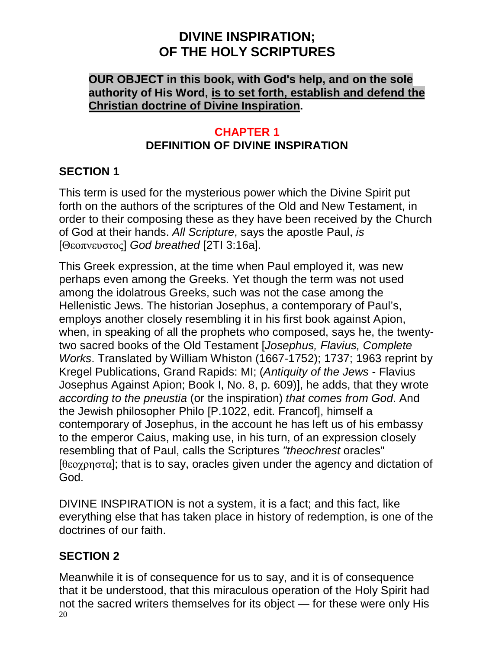# **DIVINE INSPIRATION; OF THE HOLY SCRIPTURES**

### **OUR OBJECT in this book, with God's help, and on the sole authority of His Word, is to set forth, establish and defend the Christian doctrine of Divine Inspiration.**

#### **CHAPTER 1 DEFINITION OF DIVINE INSPIRATION**

# **SECTION 1**

This term is used for the mysterious power which the Divine Spirit put forth on the authors of the scriptures of the Old and New Testament, in order to their composing these as they have been received by the Church of God at their hands. *All Scripture*, says the apostle Paul, *is* [Θεοπνευστος] *God breathed* [2TI 3:16a].

This Greek expression, at the time when Paul employed it, was new perhaps even among the Greeks. Yet though the term was not used among the idolatrous Greeks, such was not the case among the Hellenistic Jews. The historian Josephus, a contemporary of Paul's, employs another closely resembling it in his first book against Apion, when, in speaking of all the prophets who composed, says he, the twentytwo sacred books of the Old Testament [*Josephus, Flavius, Complete Works*. Translated by William Whiston (1667-1752); 1737; 1963 reprint by Kregel Publications, Grand Rapids: MI; (*Antiquity of the Jews* - Flavius Josephus Against Apion; Book I, No. 8, p. 609)], he adds, that they wrote *according to the pneustia* (or the inspiration) *that comes from God*. And the Jewish philosopher Philo [P.1022, edit. Francof], himself a contemporary of Josephus, in the account he has left us of his embassy to the emperor Caius, making use, in his turn, of an expression closely resembling that of Paul, calls the Scriptures *"theochrest* oracles" [θεοχρηστα]; that is to say, oracles given under the agency and dictation of God.

DIVINE INSPIRATION is not a system, it is a fact; and this fact, like everything else that has taken place in history of redemption, is one of the doctrines of our faith.

# **SECTION 2**

20 Meanwhile it is of consequence for us to say, and it is of consequence that it be understood, that this miraculous operation of the Holy Spirit had not the sacred writers themselves for its object — for these were only His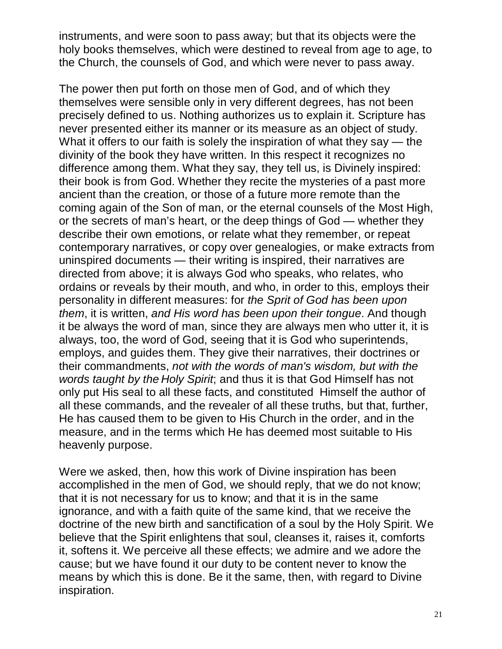instruments, and were soon to pass away; but that its objects were the holy books themselves, which were destined to reveal from age to age, to the Church, the counsels of God, and which were never to pass away.

The power then put forth on those men of God, and of which they themselves were sensible only in very different degrees, has not been precisely defined to us. Nothing authorizes us to explain it. Scripture has never presented either its manner or its measure as an object of study. What it offers to our faith is solely the inspiration of what they say — the divinity of the book they have written. In this respect it recognizes no difference among them. What they say, they tell us, is Divinely inspired: their book is from God. Whether they recite the mysteries of a past more ancient than the creation, or those of a future more remote than the coming again of the Son of man, or the eternal counsels of the Most High, or the secrets of man's heart, or the deep things of God — whether they describe their own emotions, or relate what they remember, or repeat contemporary narratives, or copy over genealogies, or make extracts from uninspired documents — their writing is inspired, their narratives are directed from above; it is always God who speaks, who relates, who ordains or reveals by their mouth, and who, in order to this, employs their personality in different measures: for *the Sprit of God has been upon them*, it is written, *and His word has been upon their tongue*. And though it be always the word of man, since they are always men who utter it, it is always, too, the word of God, seeing that it is God who superintends, employs, and guides them. They give their narratives, their doctrines or their commandments, *not with the words of man's wisdom, but with the words taught by the Holy Spirit*; and thus it is that God Himself has not only put His seal to all these facts, and constituted Himself the author of all these commands, and the revealer of all these truths, but that, further, He has caused them to be given to His Church in the order, and in the measure, and in the terms which He has deemed most suitable to His heavenly purpose.

Were we asked, then, how this work of Divine inspiration has been accomplished in the men of God, we should reply, that we do not know; that it is not necessary for us to know; and that it is in the same ignorance, and with a faith quite of the same kind, that we receive the doctrine of the new birth and sanctification of a soul by the Holy Spirit. We believe that the Spirit enlightens that soul, cleanses it, raises it, comforts it, softens it. We perceive all these effects; we admire and we adore the cause; but we have found it our duty to be content never to know the means by which this is done. Be it the same, then, with regard to Divine inspiration.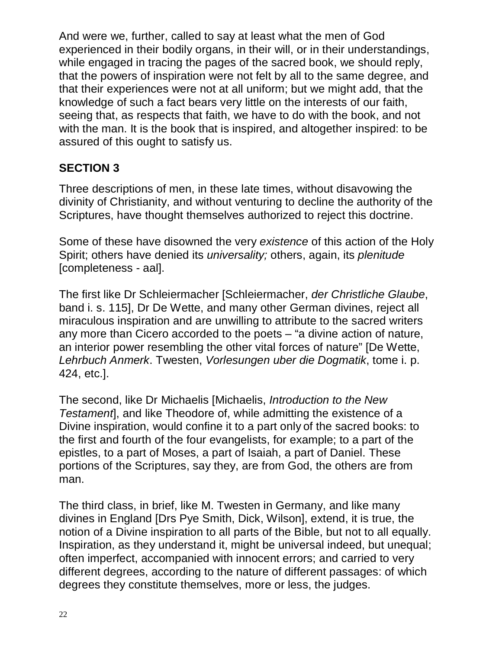And were we, further, called to say at least what the men of God experienced in their bodily organs, in their will, or in their understandings, while engaged in tracing the pages of the sacred book, we should reply, that the powers of inspiration were not felt by all to the same degree, and that their experiences were not at all uniform; but we might add, that the knowledge of such a fact bears very little on the interests of our faith, seeing that, as respects that faith, we have to do with the book, and not with the man. It is the book that is inspired, and altogether inspired: to be assured of this ought to satisfy us.

# **SECTION 3**

Three descriptions of men, in these late times, without disavowing the divinity of Christianity, and without venturing to decline the authority of the Scriptures, have thought themselves authorized to reject this doctrine.

Some of these have disowned the very *existence* of this action of the Holy Spirit; others have denied its *universality;* others, again, its *plenitude* [completeness - aal].

The first like Dr Schleiermacher [Schleiermacher, *der Christliche Glaube*, band i. s. 115], Dr De Wette, and many other German divines, reject all miraculous inspiration and are unwilling to attribute to the sacred writers any more than Cicero accorded to the poets – "a divine action of nature, an interior power resembling the other vital forces of nature" [De Wette, *Lehrbuch Anmerk*. Twesten, *Vorlesungen uber die Dogmatik*, tome i. p. 424, etc.].

The second, like Dr Michaelis [Michaelis, *Introduction to the New Testament*], and like Theodore of, while admitting the existence of a Divine inspiration, would confine it to a part only of the sacred books: to the first and fourth of the four evangelists, for example; to a part of the epistles, to a part of Moses, a part of Isaiah, a part of Daniel. These portions of the Scriptures, say they, are from God, the others are from man.

The third class, in brief, like M. Twesten in Germany, and like many divines in England [Drs Pye Smith, Dick, Wilson], extend, it is true, the notion of a Divine inspiration to all parts of the Bible, but not to all equally. Inspiration, as they understand it, might be universal indeed, but unequal; often imperfect, accompanied with innocent errors; and carried to very different degrees, according to the nature of different passages: of which degrees they constitute themselves, more or less, the judges.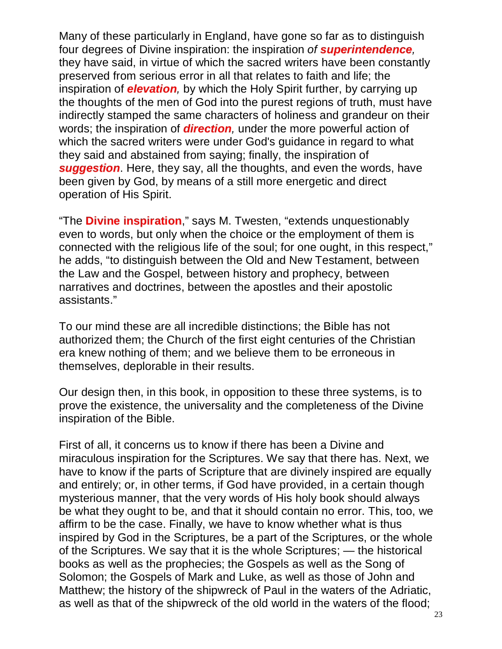Many of these particularly in England, have gone so far as to distinguish four degrees of Divine inspiration: the inspiration *of superintendence,* they have said, in virtue of which the sacred writers have been constantly preserved from serious error in all that relates to faith and life; the inspiration of *elevation,* by which the Holy Spirit further, by carrying up the thoughts of the men of God into the purest regions of truth, must have indirectly stamped the same characters of holiness and grandeur on their words; the inspiration of *direction,* under the more powerful action of which the sacred writers were under God's guidance in regard to what they said and abstained from saying; finally, the inspiration of *suggestion*. Here, they say, all the thoughts, and even the words, have been given by God, by means of a still more energetic and direct operation of His Spirit.

"The **Divine inspiration**," says M. Twesten, "extends unquestionably even to words, but only when the choice or the employment of them is connected with the religious life of the soul; for one ought, in this respect," he adds, "to distinguish between the Old and New Testament, between the Law and the Gospel, between history and prophecy, between narratives and doctrines, between the apostles and their apostolic assistants."

To our mind these are all incredible distinctions; the Bible has not authorized them; the Church of the first eight centuries of the Christian era knew nothing of them; and we believe them to be erroneous in themselves, deplorable in their results.

Our design then, in this book, in opposition to these three systems, is to prove the existence, the universality and the completeness of the Divine inspiration of the Bible.

First of all, it concerns us to know if there has been a Divine and miraculous inspiration for the Scriptures. We say that there has. Next, we have to know if the parts of Scripture that are divinely inspired are equally and entirely; or, in other terms, if God have provided, in a certain though mysterious manner, that the very words of His holy book should always be what they ought to be, and that it should contain no error. This, too, we affirm to be the case. Finally, we have to know whether what is thus inspired by God in the Scriptures, be a part of the Scriptures, or the whole of the Scriptures. We say that it is the whole Scriptures; — the historical books as well as the prophecies; the Gospels as well as the Song of Solomon; the Gospels of Mark and Luke, as well as those of John and Matthew; the history of the shipwreck of Paul in the waters of the Adriatic, as well as that of the shipwreck of the old world in the waters of the flood;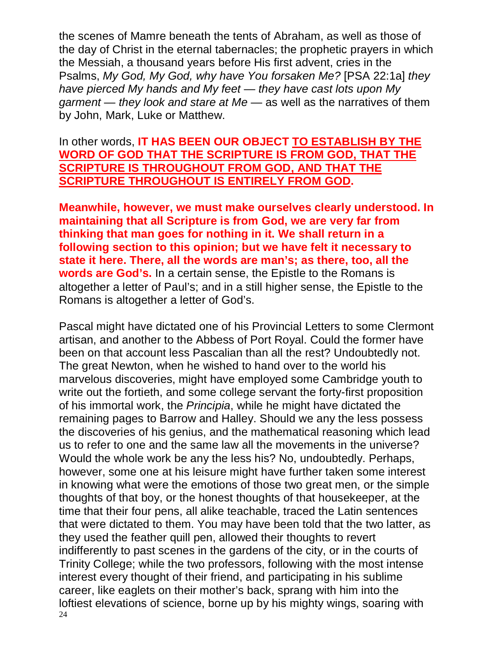the scenes of Mamre beneath the tents of Abraham, as well as those of the day of Christ in the eternal tabernacles; the prophetic prayers in which the Messiah, a thousand years before His first advent, cries in the Psalms, *My God, My God, why have You forsaken Me?* [PSA 22:1a] *they have pierced My hands and My feet* — *they have cast lots upon My garment* — *they look and stare at Me* — as well as the narratives of them by John, Mark, Luke or Matthew.

#### In other words, **IT HAS BEEN OUR OBJECT TO ESTABLISH BY THE WORD OF GOD THAT THE SCRIPTURE IS FROM GOD, THAT THE SCRIPTURE IS THROUGHOUT FROM GOD, AND THAT THE SCRIPTURE THROUGHOUT IS ENTIRELY FROM GOD.**

**Meanwhile, however, we must make ourselves clearly understood. In maintaining that all Scripture is from God, we are very far from thinking that man goes for nothing in it. We shall return in a following section to this opinion; but we have felt it necessary to state it here. There, all the words are man's; as there, too, all the words are God's.** In a certain sense, the Epistle to the Romans is altogether a letter of Paul's; and in a still higher sense, the Epistle to the Romans is altogether a letter of God's.

24 Pascal might have dictated one of his Provincial Letters to some Clermont artisan, and another to the Abbess of Port Royal. Could the former have been on that account less Pascalian than all the rest? Undoubtedly not. The great Newton, when he wished to hand over to the world his marvelous discoveries, might have employed some Cambridge youth to write out the fortieth, and some college servant the forty-first proposition of his immortal work, the *Principia*, while he might have dictated the remaining pages to Barrow and Halley. Should we any the less possess the discoveries of his genius, and the mathematical reasoning which lead us to refer to one and the same law all the movements in the universe? Would the whole work be any the less his? No, undoubtedly. Perhaps, however, some one at his leisure might have further taken some interest in knowing what were the emotions of those two great men, or the simple thoughts of that boy, or the honest thoughts of that housekeeper, at the time that their four pens, all alike teachable, traced the Latin sentences that were dictated to them. You may have been told that the two latter, as they used the feather quill pen, allowed their thoughts to revert indifferently to past scenes in the gardens of the city, or in the courts of Trinity College; while the two professors, following with the most intense interest every thought of their friend, and participating in his sublime career, like eaglets on their mother's back, sprang with him into the loftiest elevations of science, borne up by his mighty wings, soaring with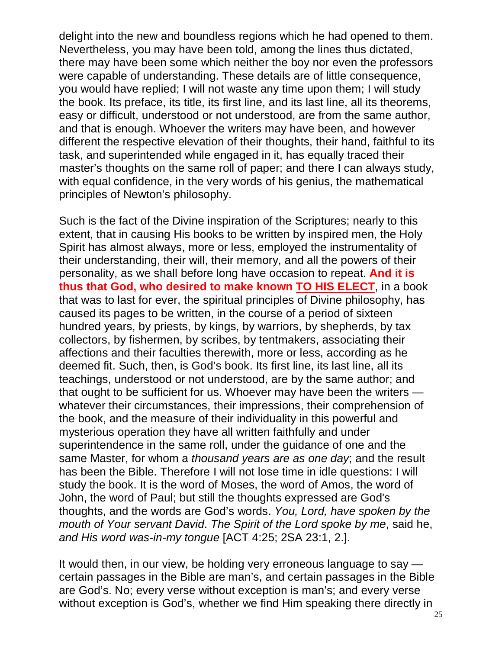delight into the new and boundless regions which he had opened to them. Nevertheless, you may have been told, among the lines thus dictated, there may have been some which neither the boy nor even the professors were capable of understanding. These details are of little consequence, you would have replied; I will not waste any time upon them; I will study the book. Its preface, its title, its first line, and its last line, all its theorems, easy or difficult, understood or not understood, are from the same author, and that is enough. Whoever the writers may have been, and however different the respective elevation of their thoughts, their hand, faithful to its task, and superintended while engaged in it, has equally traced their master's thoughts on the same roll of paper; and there I can always study, with equal confidence, in the very words of his genius, the mathematical principles of Newton's philosophy.

Such is the fact of the Divine inspiration of the Scriptures; nearly to this extent, that in causing His books to be written by inspired men, the Holy Spirit has almost always, more or less, employed the instrumentality of their understanding, their will, their memory, and all the powers of their personality, as we shall before long have occasion to repeat. **And it is thus that God, who desired to make known TO HIS ELECT**, in a book that was to last for ever, the spiritual principles of Divine philosophy, has caused its pages to be written, in the course of a period of sixteen hundred years, by priests, by kings, by warriors, by shepherds, by tax collectors, by fishermen, by scribes, by tentmakers, associating their affections and their faculties therewith, more or less, according as he deemed fit. Such, then, is God's book. Its first line, its last line, all its teachings, understood or not understood, are by the same author; and that ought to be sufficient for us. Whoever may have been the writers whatever their circumstances, their impressions, their comprehension of the book, and the measure of their individuality in this powerful and mysterious operation they have all written faithfully and under superintendence in the same roll, under the guidance of one and the same Master, for whom a *thousand years are as one day*; and the result has been the Bible. Therefore I will not lose time in idle questions: I will study the book. It is the word of Moses, the word of Amos, the word of John, the word of Paul; but still the thoughts expressed are God's thoughts, and the words are God's words. *You, Lord, have spoken by the mouth of Your servant David*. *The Spirit of the Lord spoke by me*, said he, *and His word was-in-my tongue* [ACT 4:25; 2SA 23:1, 2.].

It would then, in our view, be holding very erroneous language to say certain passages in the Bible are man's, and certain passages in the Bible are God's. No; every verse without exception is man's; and every verse without exception is God's, whether we find Him speaking there directly in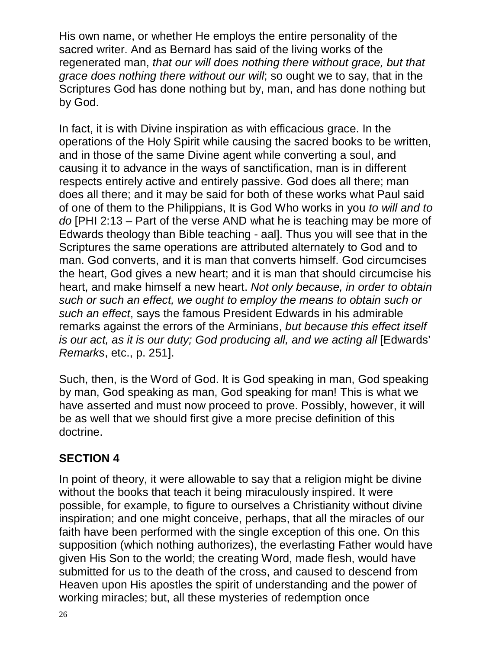His own name, or whether He employs the entire personality of the sacred writer. And as Bernard has said of the living works of the regenerated man, *that our will does nothing there without grace, but that grace does nothing there without our will*; so ought we to say, that in the Scriptures God has done nothing but by, man, and has done nothing but by God.

In fact, it is with Divine inspiration as with efficacious grace. In the operations of the Holy Spirit while causing the sacred books to be written, and in those of the same Divine agent while converting a soul, and causing it to advance in the ways of sanctification, man is in different respects entirely active and entirely passive. God does all there; man does all there; and it may be said for both of these works what Paul said of one of them to the Philippians, It is God Who works in you *to will and to do* [PHI 2:13 – Part of the verse AND what he is teaching may be more of Edwards theology than Bible teaching - aal]. Thus you will see that in the Scriptures the same operations are attributed alternately to God and to man. God converts, and it is man that converts himself. God circumcises the heart, God gives a new heart; and it is man that should circumcise his heart, and make himself a new heart. *Not only because, in order to obtain such or such an effect, we ought to employ the means to obtain such or such an effect*, says the famous President Edwards in his admirable remarks against the errors of the Arminians, *but because this effect itself is our act, as it is our duty; God producing all, and we acting all* [Edwards' *Remarks*, etc., p. 251].

Such, then, is the Word of God. It is God speaking in man, God speaking by man, God speaking as man, God speaking for man! This is what we have asserted and must now proceed to prove. Possibly, however, it will be as well that we should first give a more precise definition of this doctrine.

# **SECTION 4**

In point of theory, it were allowable to say that a religion might be divine without the books that teach it being miraculously inspired. It were possible, for example, to figure to ourselves a Christianity without divine inspiration; and one might conceive, perhaps, that all the miracles of our faith have been performed with the single exception of this one. On this supposition (which nothing authorizes), the everlasting Father would have given His Son to the world; the creating Word, made flesh, would have submitted for us to the death of the cross, and caused to descend from Heaven upon His apostles the spirit of understanding and the power of working miracles; but, all these mysteries of redemption once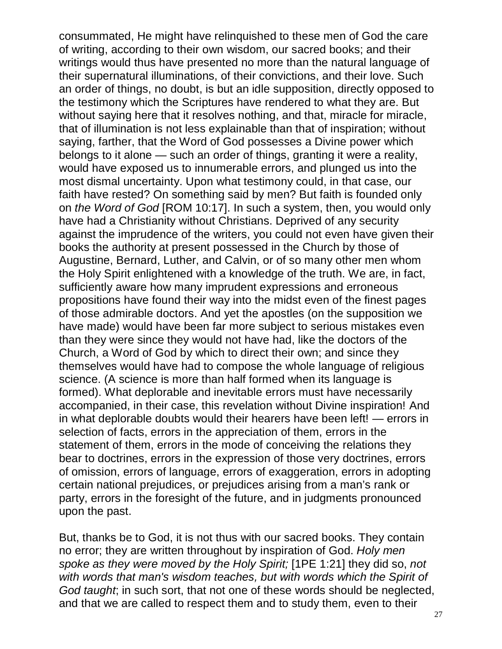consummated, He might have relinquished to these men of God the care of writing, according to their own wisdom, our sacred books; and their writings would thus have presented no more than the natural language of their supernatural illuminations, of their convictions, and their love. Such an order of things, no doubt, is but an idle supposition, directly opposed to the testimony which the Scriptures have rendered to what they are. But without saying here that it resolves nothing, and that, miracle for miracle, that of illumination is not less explainable than that of inspiration; without saying, farther, that the Word of God possesses a Divine power which belongs to it alone — such an order of things, granting it were a reality, would have exposed us to innumerable errors, and plunged us into the most dismal uncertainty. Upon what testimony could, in that case, our faith have rested? On something said by men? But faith is founded only on *the Word of God* [ROM 10:17]. In such a system, then, you would only have had a Christianity without Christians. Deprived of any security against the imprudence of the writers, you could not even have given their books the authority at present possessed in the Church by those of Augustine, Bernard, Luther, and Calvin, or of so many other men whom the Holy Spirit enlightened with a knowledge of the truth. We are, in fact, sufficiently aware how many imprudent expressions and erroneous propositions have found their way into the midst even of the finest pages of those admirable doctors. And yet the apostles (on the supposition we have made) would have been far more subject to serious mistakes even than they were since they would not have had, like the doctors of the Church, a Word of God by which to direct their own; and since they themselves would have had to compose the whole language of religious science. (A science is more than half formed when its language is formed). What deplorable and inevitable errors must have necessarily accompanied, in their case, this revelation without Divine inspiration! And in what deplorable doubts would their hearers have been left! — errors in selection of facts, errors in the appreciation of them, errors in the statement of them, errors in the mode of conceiving the relations they bear to doctrines, errors in the expression of those very doctrines, errors of omission, errors of language, errors of exaggeration, errors in adopting certain national prejudices, or prejudices arising from a man's rank or party, errors in the foresight of the future, and in judgments pronounced upon the past.

But, thanks be to God, it is not thus with our sacred books. They contain no error; they are written throughout by inspiration of God. *Holy men spoke as they were moved by the Holy Spirit;* [1PE 1:21] they did so, *not with words that man's wisdom teaches, but with words which the Spirit of God taught*; in such sort, that not one of these words should be neglected, and that we are called to respect them and to study them, even to their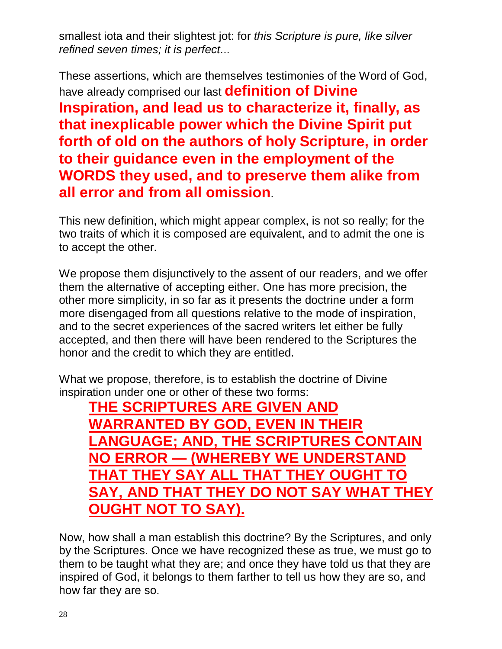smallest iota and their slightest jot: for *this Scripture is pure, like silver refined seven times; it is perfect*...

These assertions, which are themselves testimonies of the Word of God, have already comprised our last **definition of Divine Inspiration, and lead us to characterize it, finally, as that inexplicable power which the Divine Spirit put forth of old on the authors of holy Scripture, in order to their guidance even in the employment of the WORDS they used, and to preserve them alike from all error and from all omission**.

This new definition, which might appear complex, is not so really; for the two traits of which it is composed are equivalent, and to admit the one is to accept the other.

We propose them disjunctively to the assent of our readers, and we offer them the alternative of accepting either. One has more precision, the other more simplicity, in so far as it presents the doctrine under a form more disengaged from all questions relative to the mode of inspiration, and to the secret experiences of the sacred writers let either be fully accepted, and then there will have been rendered to the Scriptures the honor and the credit to which they are entitled.

What we propose, therefore, is to establish the doctrine of Divine inspiration under one or other of these two forms:

**THE SCRIPTURES ARE GIVEN AND WARRANTED BY GOD, EVEN IN THEIR LANGUAGE; AND, THE SCRIPTURES CONTAIN NO ERROR — (WHEREBY WE UNDERSTAND THAT THEY SAY ALL THAT THEY OUGHT TO SAY, AND THAT THEY DO NOT SAY WHAT THEY OUGHT NOT TO SAY).**

Now, how shall a man establish this doctrine? By the Scriptures, and only by the Scriptures. Once we have recognized these as true, we must go to them to be taught what they are; and once they have told us that they are inspired of God, it belongs to them farther to tell us how they are so, and how far they are so.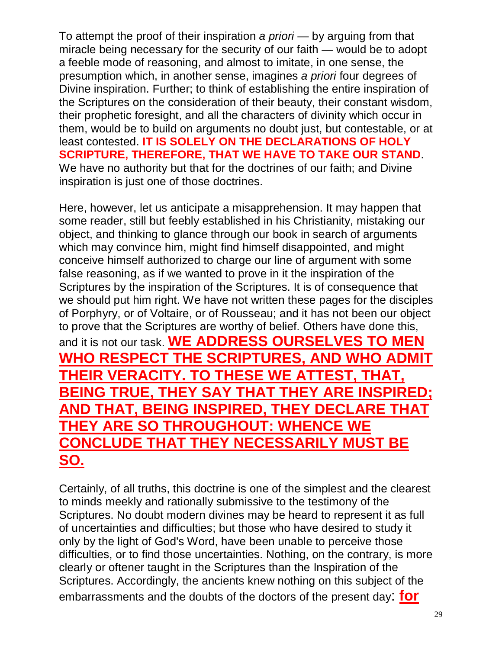To attempt the proof of their inspiration *a priori* — by arguing from that miracle being necessary for the security of our faith — would be to adopt a feeble mode of reasoning, and almost to imitate, in one sense, the presumption which, in another sense, imagines *a priori* four degrees of Divine inspiration. Further; to think of establishing the entire inspiration of the Scriptures on the consideration of their beauty, their constant wisdom, their prophetic foresight, and all the characters of divinity which occur in them, would be to build on arguments no doubt just, but contestable, or at least contested. **IT IS SOLELY ON THE DECLARATIONS OF HOLY SCRIPTURE, THEREFORE, THAT WE HAVE TO TAKE OUR STAND**. We have no authority but that for the doctrines of our faith; and Divine inspiration is just one of those doctrines.

Here, however, let us anticipate a misapprehension. It may happen that some reader, still but feebly established in his Christianity, mistaking our object, and thinking to glance through our book in search of arguments which may convince him, might find himself disappointed, and might conceive himself authorized to charge our line of argument with some false reasoning, as if we wanted to prove in it the inspiration of the Scriptures by the inspiration of the Scriptures. It is of consequence that we should put him right. We have not written these pages for the disciples of Porphyry, or of Voltaire, or of Rousseau; and it has not been our object to prove that the Scriptures are worthy of belief. Others have done this, and it is not our task. **WE ADDRESS OURSELVES TO MEN WHO RESPECT THE SCRIPTURES, AND WHO ADMIT THEIR VERACITY. TO THESE WE ATTEST, THAT, BEING TRUE, THEY SAY THAT THEY ARE INSPIRED; AND THAT, BEING INSPIRED, THEY DECLARE THAT THEY ARE SO THROUGHOUT: WHENCE WE CONCLUDE THAT THEY NECESSARILY MUST BE SO.**

Certainly, of all truths, this doctrine is one of the simplest and the clearest to minds meekly and rationally submissive to the testimony of the Scriptures. No doubt modern divines may be heard to represent it as full of uncertainties and difficulties; but those who have desired to study it only by the light of God's Word, have been unable to perceive those difficulties, or to find those uncertainties. Nothing, on the contrary, is more clearly or oftener taught in the Scriptures than the Inspiration of the Scriptures. Accordingly, the ancients knew nothing on this subject of the embarrassments and the doubts of the doctors of the present day: **for**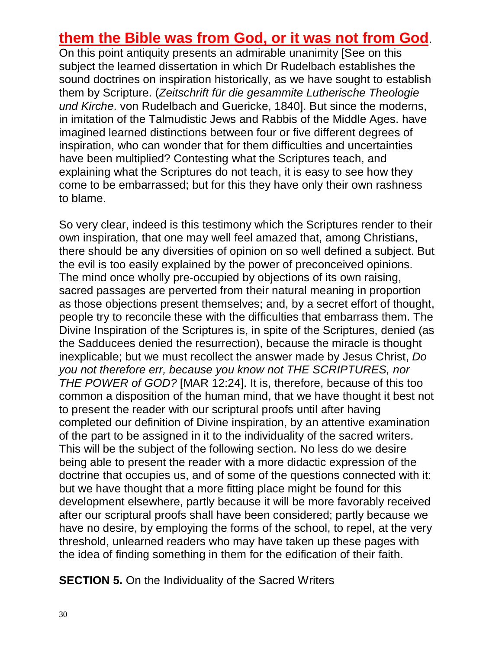# **them the Bible was from God, or it was not from God**.

On this point antiquity presents an admirable unanimity [See on this subject the learned dissertation in which Dr Rudelbach establishes the sound doctrines on inspiration historically, as we have sought to establish them by Scripture. (*Zeitschrift für die gesammite Lutherische Theologie und Kirche*. von Rudelbach and Guericke, 1840]. But since the moderns, in imitation of the Talmudistic Jews and Rabbis of the Middle Ages. have imagined learned distinctions between four or five different degrees of inspiration, who can wonder that for them difficulties and uncertainties have been multiplied? Contesting what the Scriptures teach, and explaining what the Scriptures do not teach, it is easy to see how they come to be embarrassed; but for this they have only their own rashness to blame.

So very clear, indeed is this testimony which the Scriptures render to their own inspiration, that one may well feel amazed that, among Christians, there should be any diversities of opinion on so well defined a subject. But the evil is too easily explained by the power of preconceived opinions. The mind once wholly pre-occupied by objections of its own raising, sacred passages are perverted from their natural meaning in proportion as those objections present themselves; and, by a secret effort of thought, people try to reconcile these with the difficulties that embarrass them. The Divine Inspiration of the Scriptures is, in spite of the Scriptures, denied (as the Sadducees denied the resurrection), because the miracle is thought inexplicable; but we must recollect the answer made by Jesus Christ, *Do you not therefore err, because you know not THE SCRIPTURES, nor THE POWER of GOD?* [MAR 12:24]. It is, therefore, because of this too common a disposition of the human mind, that we have thought it best not to present the reader with our scriptural proofs until after having completed our definition of Divine inspiration, by an attentive examination of the part to be assigned in it to the individuality of the sacred writers. This will be the subject of the following section. No less do we desire being able to present the reader with a more didactic expression of the doctrine that occupies us, and of some of the questions connected with it: but we have thought that a more fitting place might be found for this development elsewhere, partly because it will be more favorably received after our scriptural proofs shall have been considered; partly because we have no desire, by employing the forms of the school, to repel, at the very threshold, unlearned readers who may have taken up these pages with the idea of finding something in them for the edification of their faith.

**SECTION 5.** On the Individuality of the Sacred Writers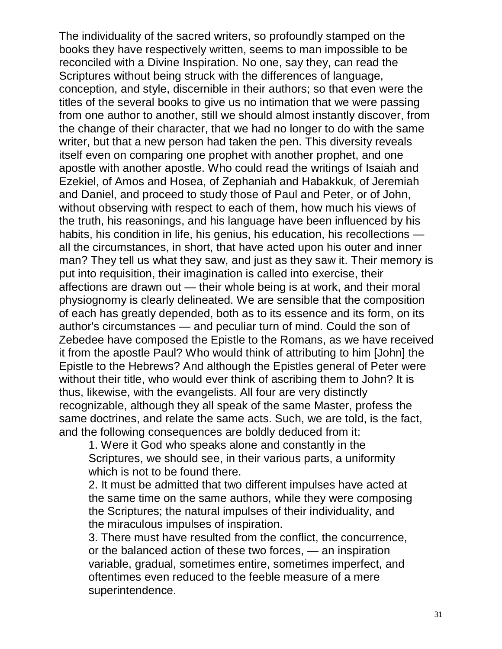The individuality of the sacred writers, so profoundly stamped on the books they have respectively written, seems to man impossible to be reconciled with a Divine Inspiration. No one, say they, can read the Scriptures without being struck with the differences of language, conception, and style, discernible in their authors; so that even were the titles of the several books to give us no intimation that we were passing from one author to another, still we should almost instantly discover, from the change of their character, that we had no longer to do with the same writer, but that a new person had taken the pen. This diversity reveals itself even on comparing one prophet with another prophet, and one apostle with another apostle. Who could read the writings of Isaiah and Ezekiel, of Amos and Hosea, of Zephaniah and Habakkuk, of Jeremiah and Daniel, and proceed to study those of Paul and Peter, or of John, without observing with respect to each of them, how much his views of the truth, his reasonings, and his language have been influenced by his habits, his condition in life, his genius, his education, his recollections all the circumstances, in short, that have acted upon his outer and inner man? They tell us what they saw, and just as they saw it. Their memory is put into requisition, their imagination is called into exercise, their affections are drawn out — their whole being is at work, and their moral physiognomy is clearly delineated. We are sensible that the composition of each has greatly depended, both as to its essence and its form, on its author's circumstances — and peculiar turn of mind. Could the son of Zebedee have composed the Epistle to the Romans, as we have received it from the apostle Paul? Who would think of attributing to him [John] the Epistle to the Hebrews? And although the Epistles general of Peter were without their title, who would ever think of ascribing them to John? It is thus, likewise, with the evangelists. All four are very distinctly recognizable, although they all speak of the same Master, profess the same doctrines, and relate the same acts. Such, we are told, is the fact, and the following consequences are boldly deduced from it:

1. Were it God who speaks alone and constantly in the Scriptures, we should see, in their various parts, a uniformity which is not to be found there.

2. It must be admitted that two different impulses have acted at the same time on the same authors, while they were composing the Scriptures; the natural impulses of their individuality, and the miraculous impulses of inspiration.

3. There must have resulted from the conflict, the concurrence, or the balanced action of these two forces, — an inspiration variable, gradual, sometimes entire, sometimes imperfect, and oftentimes even reduced to the feeble measure of a mere superintendence.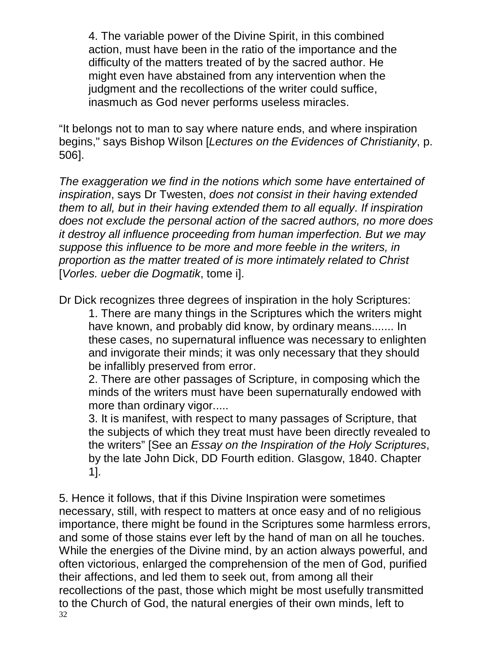4. The variable power of the Divine Spirit, in this combined action, must have been in the ratio of the importance and the difficulty of the matters treated of by the sacred author. He might even have abstained from any intervention when the judgment and the recollections of the writer could suffice, inasmuch as God never performs useless miracles.

"It belongs not to man to say where nature ends, and where inspiration begins," says Bishop Wilson [*Lectures on the Evidences of Christianity*, p. 506].

*The exaggeration we find in the notions which some have entertained of inspiration*, says Dr Twesten, *does not consist in their having extended them to all, but in their having extended them to all equally. If inspiration does not exclude the personal action of the sacred authors, no more does it destroy all influence proceeding from human imperfection. But we may suppose this influence to be more and more feeble in the writers, in proportion as the matter treated of is more intimately related to Christ* [*Vorles. ueber die Dogmatik*, tome i].

Dr Dick recognizes three degrees of inspiration in the holy Scriptures:

1. There are many things in the Scriptures which the writers might have known, and probably did know, by ordinary means....... In these cases, no supernatural influence was necessary to enlighten and invigorate their minds; it was only necessary that they should be infallibly preserved from error.

2. There are other passages of Scripture, in composing which the minds of the writers must have been supernaturally endowed with more than ordinary vigor.....

3. It is manifest, with respect to many passages of Scripture, that the subjects of which they treat must have been directly revealed to the writers" [See an *Essay on the Inspiration of the Holy Scriptures*, by the late John Dick, DD Fourth edition. Glasgow, 1840. Chapter 1].

32 5. Hence it follows, that if this Divine Inspiration were sometimes necessary, still, with respect to matters at once easy and of no religious importance, there might be found in the Scriptures some harmless errors, and some of those stains ever left by the hand of man on all he touches. While the energies of the Divine mind, by an action always powerful, and often victorious, enlarged the comprehension of the men of God, purified their affections, and led them to seek out, from among all their recollections of the past, those which might be most usefully transmitted to the Church of God, the natural energies of their own minds, left to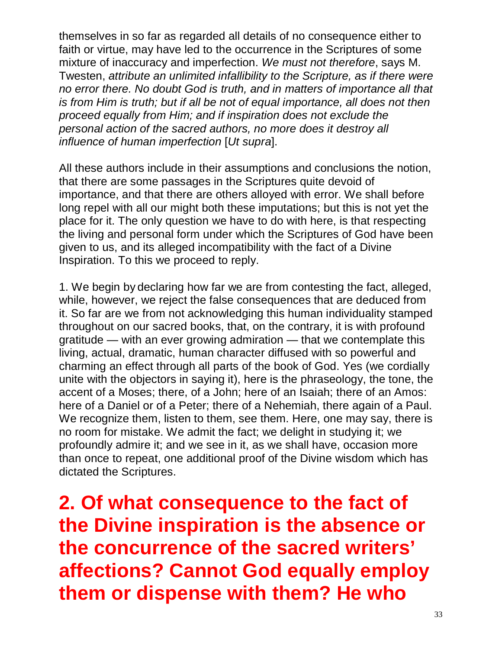themselves in so far as regarded all details of no consequence either to faith or virtue, may have led to the occurrence in the Scriptures of some mixture of inaccuracy and imperfection. *We must not therefore*, says M. Twesten, *attribute an unlimited infallibility to the Scripture, as if there were no error there. No doubt God is truth, and in matters of importance all that is from Him is truth; but if all be not of equal importance, all does not then proceed equally from Him; and if inspiration does not exclude the personal action of the sacred authors, no more does it destroy all influence of human imperfection* [*Ut supra*].

All these authors include in their assumptions and conclusions the notion, that there are some passages in the Scriptures quite devoid of importance, and that there are others alloyed with error. We shall before long repel with all our might both these imputations; but this is not yet the place for it. The only question we have to do with here, is that respecting the living and personal form under which the Scriptures of God have been given to us, and its alleged incompatibility with the fact of a Divine Inspiration. To this we proceed to reply.

1. We begin by declaring how far we are from contesting the fact, alleged, while, however, we reject the false consequences that are deduced from it. So far are we from not acknowledging this human individuality stamped throughout on our sacred books, that, on the contrary, it is with profound gratitude — with an ever growing admiration — that we contemplate this living, actual, dramatic, human character diffused with so powerful and charming an effect through all parts of the book of God. Yes (we cordially unite with the objectors in saying it), here is the phraseology, the tone, the accent of a Moses; there, of a John; here of an Isaiah; there of an Amos: here of a Daniel or of a Peter; there of a Nehemiah, there again of a Paul. We recognize them, listen to them, see them. Here, one may say, there is no room for mistake. We admit the fact; we delight in studying it; we profoundly admire it; and we see in it, as we shall have, occasion more than once to repeat, one additional proof of the Divine wisdom which has dictated the Scriptures.

**2. Of what consequence to the fact of the Divine inspiration is the absence or the concurrence of the sacred writers' affections? Cannot God equally employ them or dispense with them? He who**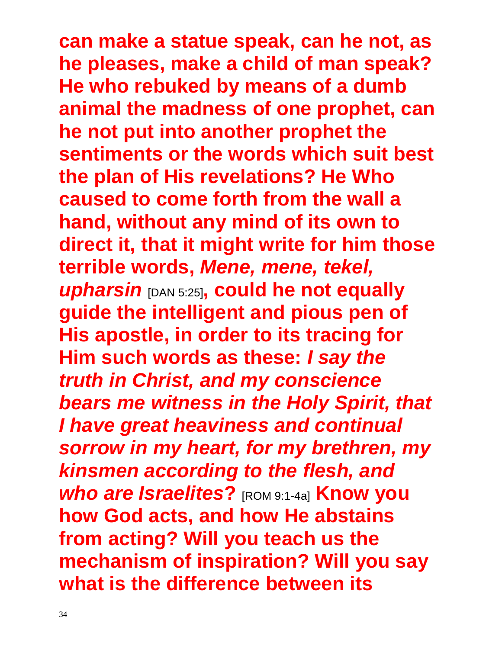**can make a statue speak, can he not, as he pleases, make a child of man speak? He who rebuked by means of a dumb animal the madness of one prophet, can he not put into another prophet the sentiments or the words which suit best the plan of His revelations? He Who caused to come forth from the wall a hand, without any mind of its own to direct it, that it might write for him those terrible words,** *Mene, mene, tekel, upharsin* [DAN 5:25]**, could he not equally guide the intelligent and pious pen of His apostle, in order to its tracing for Him such words as these:** *I say the truth in Christ, and my conscience bears me witness in the Holy Spirit, that I have great heaviness and continual sorrow in my heart, for my brethren, my kinsmen according to the flesh, and who are Israelites***?** [ROM 9:1-4a] **Know you how God acts, and how He abstains from acting? Will you teach us the mechanism of inspiration? Will you say what is the difference between its**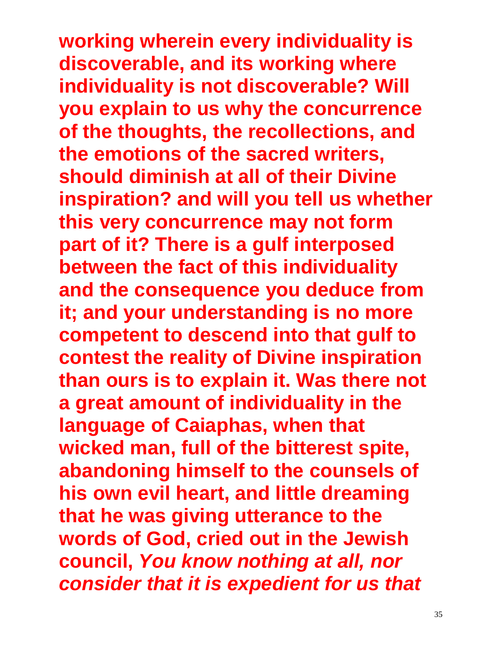**working wherein every individuality is discoverable, and its working where individuality is not discoverable? Will you explain to us why the concurrence of the thoughts, the recollections, and the emotions of the sacred writers, should diminish at all of their Divine inspiration? and will you tell us whether this very concurrence may not form part of it? There is a gulf interposed between the fact of this individuality and the consequence you deduce from it; and your understanding is no more competent to descend into that gulf to contest the reality of Divine inspiration than ours is to explain it. Was there not a great amount of individuality in the language of Caiaphas, when that wicked man, full of the bitterest spite, abandoning himself to the counsels of his own evil heart, and little dreaming that he was giving utterance to the words of God, cried out in the Jewish council,** *You know nothing at all, nor consider that it is expedient for us that*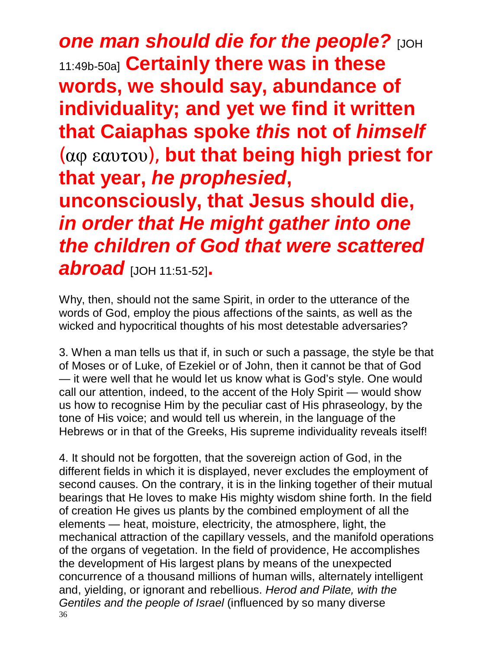*One man should die for the people?* **LOH** 11:49b-50a] **Certainly there was in these words, we should say, abundance of individuality; and yet we find it written that Caiaphas spoke** *this* **not of** *himself* **(**αφ εαυτου**), but that being high priest for that year,** *he prophesied***, unconsciously, that Jesus should die,** *in order that He might gather into one the children of God that were scattered*

*abroad* [JOH 11:51-52]**.**

Why, then, should not the same Spirit, in order to the utterance of the words of God, employ the pious affections of the saints, as well as the wicked and hypocritical thoughts of his most detestable adversaries?

3. When a man tells us that if, in such or such a passage, the style be that of Moses or of Luke, of Ezekiel or of John, then it cannot be that of God — it were well that he would let us know what is God's style. One would call our attention, indeed, to the accent of the Holy Spirit — would show us how to recognise Him by the peculiar cast of His phraseology, by the tone of His voice; and would tell us wherein, in the language of the Hebrews or in that of the Greeks, His supreme individuality reveals itself!

36 4. It should not be forgotten, that the sovereign action of God, in the different fields in which it is displayed, never excludes the employment of second causes. On the contrary, it is in the linking together of their mutual bearings that He loves to make His mighty wisdom shine forth. In the field of creation He gives us plants by the combined employment of all the elements — heat, moisture, electricity, the atmosphere, light, the mechanical attraction of the capillary vessels, and the manifold operations of the organs of vegetation. In the field of providence, He accomplishes the development of His largest plans by means of the unexpected concurrence of a thousand millions of human wills, alternately intelligent and, yielding, or ignorant and rebellious. *Herod and Pilate, with the Gentiles and the people of Israel* (influenced by so many diverse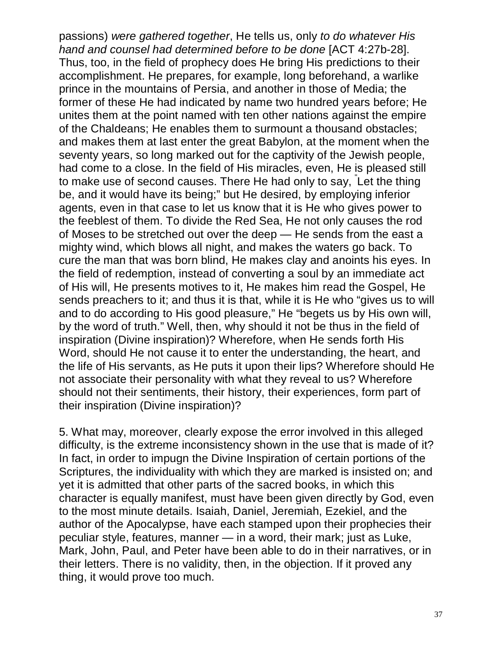passions) *were gathered together*, He tells us, only *to do whatever His hand and counsel had determined before to be done* [ACT 4:27b-28]. Thus, too, in the field of prophecy does He bring His predictions to their accomplishment. He prepares, for example, long beforehand, a warlike prince in the mountains of Persia, and another in those of Media; the former of these He had indicated by name two hundred years before; He unites them at the point named with ten other nations against the empire of the Chaldeans; He enables them to surmount a thousand obstacles; and makes them at last enter the great Babylon, at the moment when the seventy years, so long marked out for the captivity of the Jewish people, had come to a close. In the field of His miracles, even, He is pleased still to make use of second causes. There He had only to say, " Let the thing be, and it would have its being;" but He desired, by employing inferior agents, even in that case to let us know that it is He who gives power to the feeblest of them. To divide the Red Sea, He not only causes the rod of Moses to be stretched out over the deep — He sends from the east a mighty wind, which blows all night, and makes the waters go back. To cure the man that was born blind, He makes clay and anoints his eyes. In the field of redemption, instead of converting a soul by an immediate act of His will, He presents motives to it, He makes him read the Gospel, He sends preachers to it; and thus it is that, while it is He who "gives us to will and to do according to His good pleasure," He "begets us by His own will, by the word of truth." Well, then, why should it not be thus in the field of inspiration (Divine inspiration)? Wherefore, when He sends forth His Word, should He not cause it to enter the understanding, the heart, and the life of His servants, as He puts it upon their lips? Wherefore should He not associate their personality with what they reveal to us? Wherefore should not their sentiments, their history, their experiences, form part of their inspiration (Divine inspiration)?

5. What may, moreover, clearly expose the error involved in this alleged difficulty, is the extreme inconsistency shown in the use that is made of it? In fact, in order to impugn the Divine Inspiration of certain portions of the Scriptures, the individuality with which they are marked is insisted on; and yet it is admitted that other parts of the sacred books, in which this character is equally manifest, must have been given directly by God, even to the most minute details. Isaiah, Daniel, Jeremiah, Ezekiel, and the author of the Apocalypse, have each stamped upon their prophecies their peculiar style, features, manner — in a word, their mark; just as Luke, Mark, John, Paul, and Peter have been able to do in their narratives, or in their letters. There is no validity, then, in the objection. If it proved any thing, it would prove too much.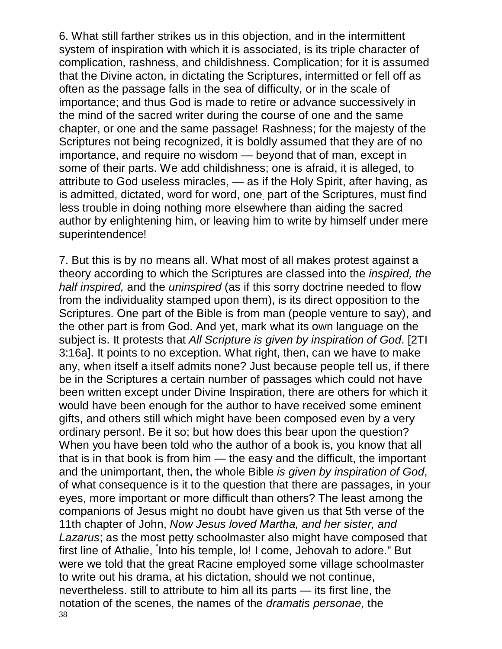6. What still farther strikes us in this objection, and in the intermittent system of inspiration with which it is associated, is its triple character of complication, rashness, and childishness. Complication; for it is assumed that the Divine acton, in dictating the Scriptures, intermitted or fell off as often as the passage falls in the sea of difficulty, or in the scale of importance; and thus God is made to retire or advance successively in the mind of the sacred writer during the course of one and the same chapter, or one and the same passage! Rashness; for the majesty of the Scriptures not being recognized, it is boldly assumed that they are of no importance, and require no wisdom — beyond that of man, except in some of their parts. We add childishness; one is afraid, it is alleged, to attribute to God useless miracles, — as if the Holy Spirit, after having, as is admitted, dictated, word for word, one. part of the Scriptures, must find less trouble in doing nothing more elsewhere than aiding the sacred author by enlightening him, or leaving him to write by himself under mere superintendence!

38 7. But this is by no means all. What most of all makes protest against a theory according to which the Scriptures are classed into the *inspired, the half inspired,* and the *uninspired* (as if this sorry doctrine needed to flow from the individuality stamped upon them), is its direct opposition to the Scriptures. One part of the Bible is from man (people venture to say), and the other part is from God. And yet, mark what its own language on the subject is. It protests that *All Scripture is given by inspiration of God*. [2TI 3:16a]. It points to no exception. What right, then, can we have to make any, when itself a itself admits none? Just because people tell us, if there be in the Scriptures a certain number of passages which could not have been written except under Divine Inspiration, there are others for which it would have been enough for the author to have received some eminent gifts, and others still which might have been composed even by a very ordinary person!. Be it so; but how does this bear upon the question? When you have been told who the author of a book is, you know that all that is in that book is from him — the easy and the difficult, the important and the unimportant, then, the whole Bible *is given by inspiration of God*, of what consequence is it to the question that there are passages, in your eyes, more important or more difficult than others? The least among the companions of Jesus might no doubt have given us that 5th verse of the 11th chapter of John, *Now Jesus loved Martha, and her sister, and Lazarus*; as the most petty schoolmaster also might have composed that first line of Athalie, <sup>"</sup>Into his temple, lo! I come, Jehovah to adore." But were we told that the great Racine employed some village schoolmaster to write out his drama, at his dictation, should we not continue, nevertheless. still to attribute to him all its parts — its first line, the notation of the scenes, the names of the *dramatis personae,* the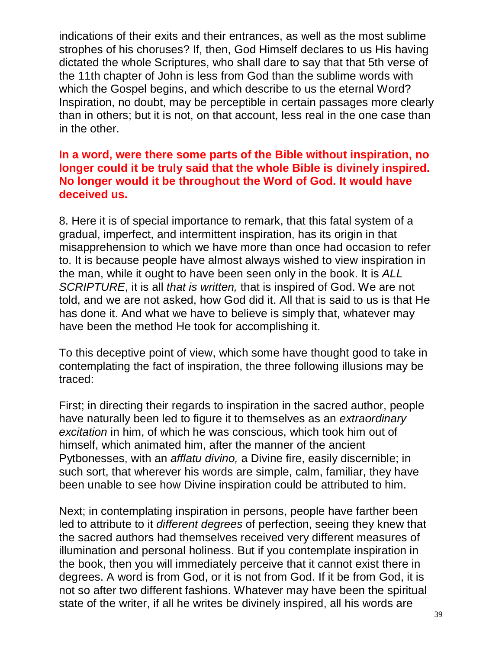indications of their exits and their entrances, as well as the most sublime strophes of his choruses? If, then, God Himself declares to us His having dictated the whole Scriptures, who shall dare to say that that 5th verse of the 11th chapter of John is less from God than the sublime words with which the Gospel begins, and which describe to us the eternal Word? Inspiration, no doubt, may be perceptible in certain passages more clearly than in others; but it is not, on that account, less real in the one case than in the other.

#### **In a word, were there some parts of the Bible without inspiration, no longer could it be truly said that the whole Bible is divinely inspired. No longer would it be throughout the Word of God. It would have deceived us.**

8. Here it is of special importance to remark, that this fatal system of a gradual, imperfect, and intermittent inspiration, has its origin in that misapprehension to which we have more than once had occasion to refer to. It is because people have almost always wished to view inspiration in the man, while it ought to have been seen only in the book. It is *ALL SCRIPTURE*, it is all *that is written,* that is inspired of God. We are not told, and we are not asked, how God did it. All that is said to us is that He has done it. And what we have to believe is simply that, whatever may have been the method He took for accomplishing it.

To this deceptive point of view, which some have thought good to take in contemplating the fact of inspiration, the three following illusions may be traced:

First; in directing their regards to inspiration in the sacred author, people have naturally been led to figure it to themselves as an *extraordinary excitation* in him, of which he was conscious, which took him out of himself, which animated him, after the manner of the ancient Pytbonesses, with an *afflatu divino,* a Divine fire, easily discernible; in such sort, that wherever his words are simple, calm, familiar, they have been unable to see how Divine inspiration could be attributed to him.

Next; in contemplating inspiration in persons, people have farther been led to attribute to it *different degrees* of perfection, seeing they knew that the sacred authors had themselves received very different measures of illumination and personal holiness. But if you contemplate inspiration in the book, then you will immediately perceive that it cannot exist there in degrees. A word is from God, or it is not from God. If it be from God, it is not so after two different fashions. Whatever may have been the spiritual state of the writer, if all he writes be divinely inspired, all his words are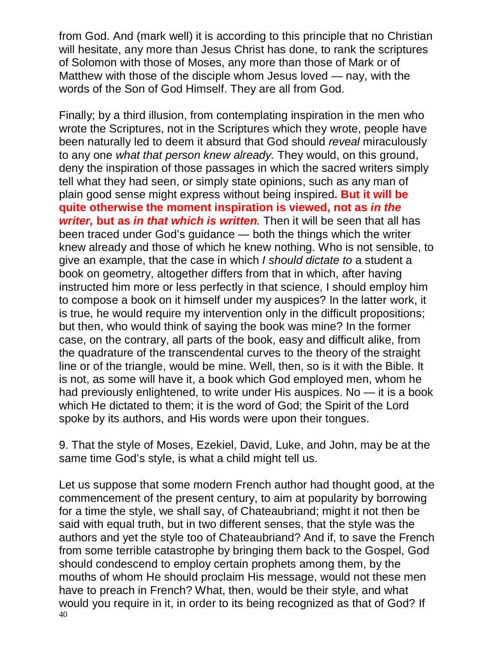from God. And (mark well) it is according to this principle that no Christian will hesitate, any more than Jesus Christ has done, to rank the scriptures of Solomon with those of Moses, any more than those of Mark or of Matthew with those of the disciple whom Jesus loved — nay, with the words of the Son of God Himself. They are all from God.

Finally; by a third illusion, from contemplating inspiration in the men who wrote the Scriptures, not in the Scriptures which they wrote, people have been naturally led to deem it absurd that God should *reveal* miraculously to any one *what that person knew already.* They would, on this ground, deny the inspiration of those passages in which the sacred writers simply tell what they had seen, or simply state opinions, such as any man of plain good sense might express without being inspired**. But it will be quite otherwise the moment inspiration is viewed, not as** *in the writer,* **but as** *in that which is written.* Then it will be seen that all has been traced under God's guidance — both the things which the writer knew already and those of which he knew nothing. Who is not sensible, to give an example, that the case in which *I should dictate to* a student a book on geometry, altogether differs from that in which, after having instructed him more or less perfectly in that science, I should employ him to compose a book on it himself under my auspices? In the latter work, it is true, he would require my intervention only in the difficult propositions; but then, who would think of saying the book was mine? In the former case, on the contrary, all parts of the book, easy and difficult alike, from the quadrature of the transcendental curves to the theory of the straight line or of the triangle, would be mine. Well, then, so is it with the Bible. It is not, as some will have it, a book which God employed men, whom he had previously enlightened, to write under His auspices. No — it is a book which He dictated to them; it is the word of God; the Spirit of the Lord spoke by its authors, and His words were upon their tongues.

9. That the style of Moses, Ezekiel, David, Luke, and John, may be at the same time God's style, is what a child might tell us.

40 Let us suppose that some modern French author had thought good, at the commencement of the present century, to aim at popularity by borrowing for a time the style, we shall say, of Chateaubriand; might it not then be said with equal truth, but in two different senses, that the style was the authors and yet the style too of Chateaubriand? And if, to save the French from some terrible catastrophe by bringing them back to the Gospel, God should condescend to employ certain prophets among them, by the mouths of whom He should proclaim His message, would not these men have to preach in French? What, then, would be their style, and what would you require in it, in order to its being recognized as that of God? If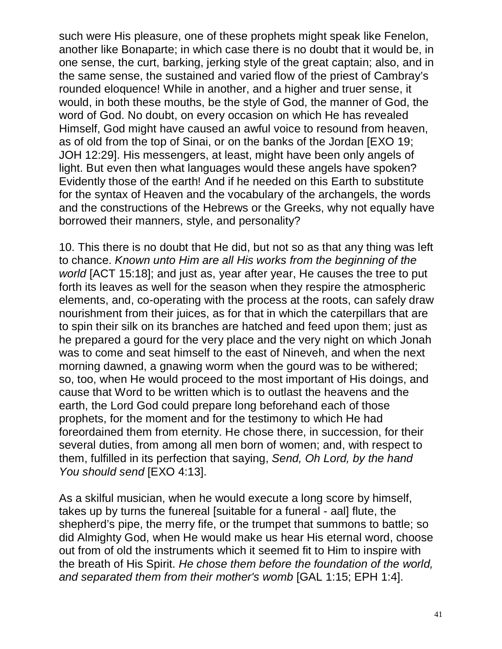such were His pleasure, one of these prophets might speak like Fenelon, another like Bonaparte; in which case there is no doubt that it would be, in one sense, the curt, barking, jerking style of the great captain; also, and in the same sense, the sustained and varied flow of the priest of Cambray's rounded eloquence! While in another, and a higher and truer sense, it would, in both these mouths, be the style of God, the manner of God, the word of God. No doubt, on every occasion on which He has revealed Himself, God might have caused an awful voice to resound from heaven, as of old from the top of Sinai, or on the banks of the Jordan [EXO 19; JOH 12:29]. His messengers, at least, might have been only angels of light. But even then what languages would these angels have spoken? Evidently those of the earth! And if he needed on this Earth to substitute for the syntax of Heaven and the vocabulary of the archangels, the words and the constructions of the Hebrews or the Greeks, why not equally have borrowed their manners, style, and personality?

10. This there is no doubt that He did, but not so as that any thing was left to chance. *Known unto Him are all His works from the beginning of the world* [ACT 15:18]; and just as, year after year, He causes the tree to put forth its leaves as well for the season when they respire the atmospheric elements, and, co-operating with the process at the roots, can safely draw nourishment from their juices, as for that in which the caterpillars that are to spin their silk on its branches are hatched and feed upon them; just as he prepared a gourd for the very place and the very night on which Jonah was to come and seat himself to the east of Nineveh, and when the next morning dawned, a gnawing worm when the gourd was to be withered; so, too, when He would proceed to the most important of His doings, and cause that Word to be written which is to outlast the heavens and the earth, the Lord God could prepare long beforehand each of those prophets, for the moment and for the testimony to which He had foreordained them from eternity. He chose there, in succession, for their several duties, from among all men born of women; and, with respect to them, fulfilled in its perfection that saying, *Send, Oh Lord, by the hand You should send* [EXO 4:13].

As a skilful musician, when he would execute a long score by himself, takes up by turns the funereal [suitable for a funeral - aal] flute, the shepherd's pipe, the merry fife, or the trumpet that summons to battle; so did Almighty God, when He would make us hear His eternal word, choose out from of old the instruments which it seemed fit to Him to inspire with the breath of His Spirit. *He chose them before the foundation of the world, and separated them from their mother's womb* [GAL 1:15; EPH 1:4].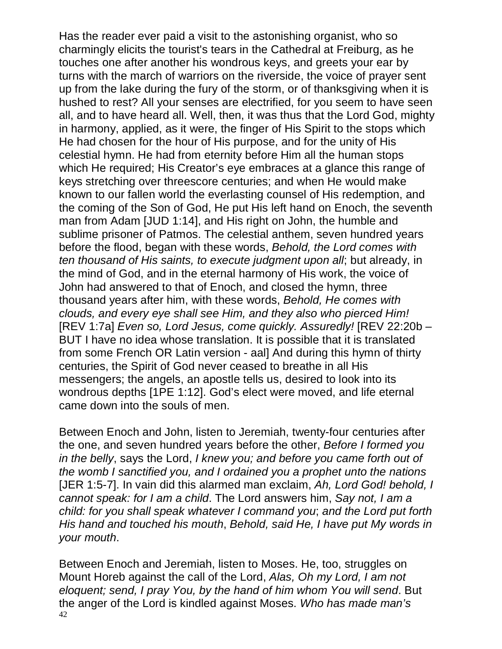Has the reader ever paid a visit to the astonishing organist, who so charmingly elicits the tourist's tears in the Cathedral at Freiburg, as he touches one after another his wondrous keys, and greets your ear by turns with the march of warriors on the riverside, the voice of prayer sent up from the lake during the fury of the storm, or of thanksgiving when it is hushed to rest? All your senses are electrified, for you seem to have seen all, and to have heard all. Well, then, it was thus that the Lord God, mighty in harmony, applied, as it were, the finger of His Spirit to the stops which He had chosen for the hour of His purpose, and for the unity of His celestial hymn. He had from eternity before Him all the human stops which He required; His Creator's eye embraces at a glance this range of keys stretching over threescore centuries; and when He would make known to our fallen world the everlasting counsel of His redemption, and the coming of the Son of God, He put His left hand on Enoch, the seventh man from Adam [JUD 1:14], and His right on John, the humble and sublime prisoner of Patmos. The celestial anthem, seven hundred years before the flood, began with these words, *Behold, the Lord comes with ten thousand of His saints, to execute judgment upon all*; but already, in the mind of God, and in the eternal harmony of His work, the voice of John had answered to that of Enoch, and closed the hymn, three thousand years after him, with these words, *Behold, He comes with clouds, and every eye shall see Him, and they also who pierced Him!* [REV 1:7a] *Even so, Lord Jesus, come quickly. Assuredly!* [REV 22:20b – BUT I have no idea whose translation. It is possible that it is translated from some French OR Latin version - aal] And during this hymn of thirty centuries, the Spirit of God never ceased to breathe in all His messengers; the angels, an apostle tells us, desired to look into its wondrous depths [1PE 1:12]. God's elect were moved, and life eternal came down into the souls of men.

Between Enoch and John, listen to Jeremiah, twenty-four centuries after the one, and seven hundred years before the other, *Before I formed you in the belly*, says the Lord, *I knew you; and before you came forth out of the womb I sanctified you, and I ordained you a prophet unto the nations* [JER 1:5-7]. In vain did this alarmed man exclaim, *Ah, Lord God! behold, I cannot speak: for I am a child*. The Lord answers him, *Say not, I am a child: for you shall speak whatever I command you*; *and the Lord put forth His hand and touched his mouth*, *Behold, said He, I have put My words in your mouth*.

42 Between Enoch and Jeremiah, listen to Moses. He, too, struggles on Mount Horeb against the call of the Lord, *Alas, Oh my Lord, I am not eloquent; send, I pray You, by the hand of him whom You will send*. But the anger of the Lord is kindled against Moses. *Who has made man's*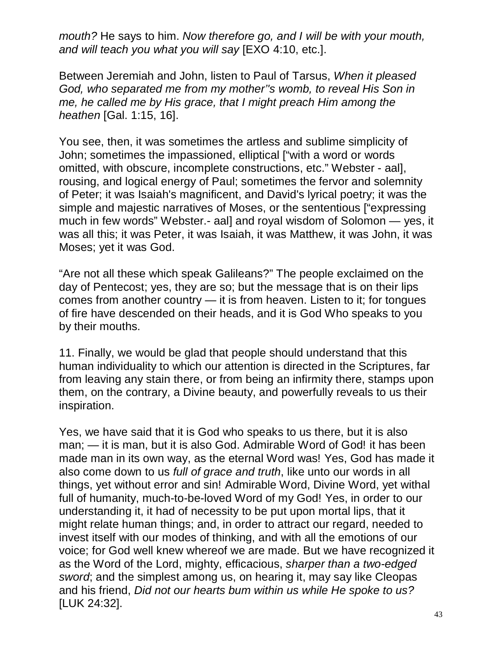*mouth?* He says to him. *Now therefore go, and I will be with your mouth, and will teach you what you will say* [EXO 4:10, etc.].

Between Jeremiah and John, listen to Paul of Tarsus, *When it pleased God, who separated me from my mother''s womb, to reveal His Son in me, he called me by His grace, that I might preach Him among the heathen* [Gal. 1:15, 16].

You see, then, it was sometimes the artless and sublime simplicity of John; sometimes the impassioned, elliptical ["with a word or words omitted, with obscure, incomplete constructions, etc." Webster - aal], rousing, and logical energy of Paul; sometimes the fervor and solemnity of Peter; it was Isaiah's magnificent, and David's lyrical poetry; it was the simple and majestic narratives of Moses, or the sententious ["expressing much in few words" Webster.- aal] and royal wisdom of Solomon — yes, it was all this; it was Peter, it was Isaiah, it was Matthew, it was John, it was Moses; yet it was God.

"Are not all these which speak Galileans?" The people exclaimed on the day of Pentecost; yes, they are so; but the message that is on their lips comes from another country — it is from heaven. Listen to it; for tongues of fire have descended on their heads, and it is God Who speaks to you by their mouths.

11. Finally, we would be glad that people should understand that this human individuality to which our attention is directed in the Scriptures, far from leaving any stain there, or from being an infirmity there, stamps upon them, on the contrary, a Divine beauty, and powerfully reveals to us their inspiration.

Yes, we have said that it is God who speaks to us there, but it is also man; — it is man, but it is also God. Admirable Word of God! it has been made man in its own way, as the eternal Word was! Yes, God has made it also come down to us *full of grace and truth*, like unto our words in all things, yet without error and sin! Admirable Word, Divine Word, yet withal full of humanity, much-to-be-loved Word of my God! Yes, in order to our understanding it, it had of necessity to be put upon mortal lips, that it might relate human things; and, in order to attract our regard, needed to invest itself with our modes of thinking, and with all the emotions of our voice; for God well knew whereof we are made. But we have recognized it as the Word of the Lord, mighty, efficacious, *sharper than a two-edged sword*; and the simplest among us, on hearing it, may say like Cleopas and his friend, *Did not our hearts bum within us while He spoke to us?* [LUK 24:32].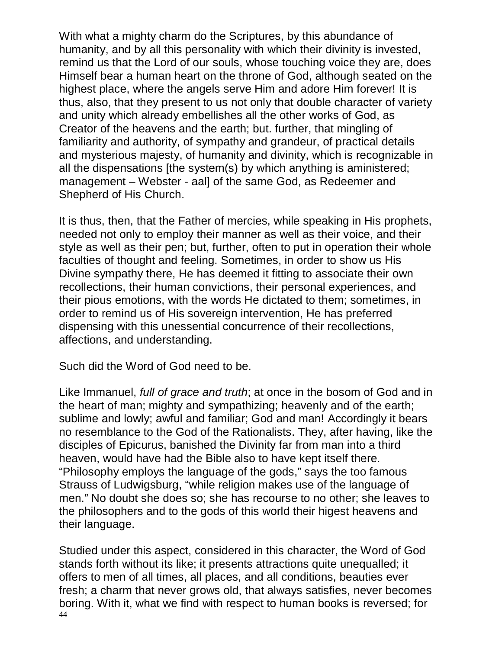With what a mighty charm do the Scriptures, by this abundance of humanity, and by all this personality with which their divinity is invested, remind us that the Lord of our souls, whose touching voice they are, does Himself bear a human heart on the throne of God, although seated on the highest place, where the angels serve Him and adore Him forever! It is thus, also, that they present to us not only that double character of variety and unity which already embellishes all the other works of God, as Creator of the heavens and the earth; but. further, that mingling of familiarity and authority, of sympathy and grandeur, of practical details and mysterious majesty, of humanity and divinity, which is recognizable in all the dispensations [the system(s) by which anything is aministered; management – Webster - aal] of the same God, as Redeemer and Shepherd of His Church.

It is thus, then, that the Father of mercies, while speaking in His prophets, needed not only to employ their manner as well as their voice, and their style as well as their pen; but, further, often to put in operation their whole faculties of thought and feeling. Sometimes, in order to show us His Divine sympathy there, He has deemed it fitting to associate their own recollections, their human convictions, their personal experiences, and their pious emotions, with the words He dictated to them; sometimes, in order to remind us of His sovereign intervention, He has preferred dispensing with this unessential concurrence of their recollections, affections, and understanding.

Such did the Word of God need to be.

Like Immanuel, *full of grace and truth*; at once in the bosom of God and in the heart of man; mighty and sympathizing; heavenly and of the earth; sublime and lowly; awful and familiar; God and man! Accordingly it bears no resemblance to the God of the Rationalists. They, after having, like the disciples of Epicurus, banished the Divinity far from man into a third heaven, would have had the Bible also to have kept itself there. "Philosophy employs the language of the gods," says the too famous Strauss of Ludwigsburg, "while religion makes use of the language of men." No doubt she does so; she has recourse to no other; she leaves to the philosophers and to the gods of this world their higest heavens and their language.

44 Studied under this aspect, considered in this character, the Word of God stands forth without its like; it presents attractions quite unequalled; it offers to men of all times, all places, and all conditions, beauties ever fresh; a charm that never grows old, that always satisfies, never becomes boring. With it, what we find with respect to human books is reversed; for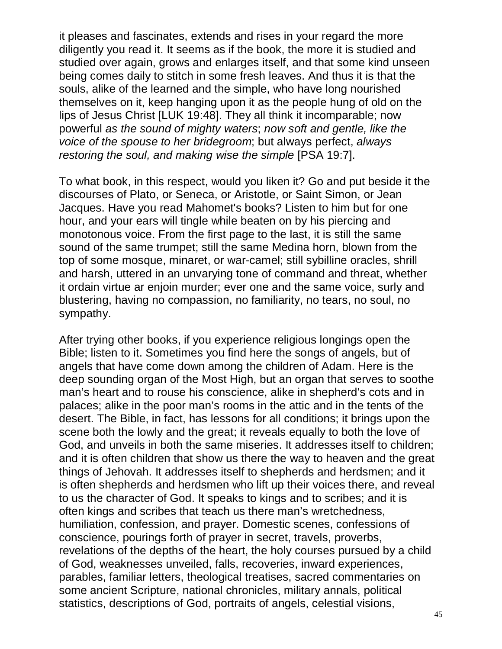it pleases and fascinates, extends and rises in your regard the more diligently you read it. It seems as if the book, the more it is studied and studied over again, grows and enlarges itself, and that some kind unseen being comes daily to stitch in some fresh leaves. And thus it is that the souls, alike of the learned and the simple, who have long nourished themselves on it, keep hanging upon it as the people hung of old on the lips of Jesus Christ [LUK 19:48]. They all think it incomparable; now powerful *as the sound of mighty waters*; *now soft and gentle, like the voice of the spouse to her bridegroom*; but always perfect, *always restoring the soul, and making wise the simple* [PSA 19:7].

To what book, in this respect, would you liken it? Go and put beside it the discourses of Plato, or Seneca, or Aristotle, or Saint Simon, or Jean Jacques. Have you read Mahomet's books? Listen to him but for one hour, and your ears will tingle while beaten on by his piercing and monotonous voice. From the first page to the last, it is still the same sound of the same trumpet; still the same Medina horn, blown from the top of some mosque, minaret, or war-camel; still sybilline oracles, shrill and harsh, uttered in an unvarying tone of command and threat, whether it ordain virtue ar enjoin murder; ever one and the same voice, surly and blustering, having no compassion, no familiarity, no tears, no soul, no sympathy.

After trying other books, if you experience religious longings open the Bible; listen to it. Sometimes you find here the songs of angels, but of angels that have come down among the children of Adam. Here is the deep sounding organ of the Most High, but an organ that serves to soothe man's heart and to rouse his conscience, alike in shepherd's cots and in palaces; alike in the poor man's rooms in the attic and in the tents of the desert. The Bible, in fact, has lessons for all conditions; it brings upon the scene both the lowly and the great; it reveals equally to both the love of God, and unveils in both the same miseries. It addresses itself to children; and it is often children that show us there the way to heaven and the great things of Jehovah. It addresses itself to shepherds and herdsmen; and it is often shepherds and herdsmen who lift up their voices there, and reveal to us the character of God. It speaks to kings and to scribes; and it is often kings and scribes that teach us there man's wretchedness, humiliation, confession, and prayer. Domestic scenes, confessions of conscience, pourings forth of prayer in secret, travels, proverbs, revelations of the depths of the heart, the holy courses pursued by a child of God, weaknesses unveiled, falls, recoveries, inward experiences, parables, familiar letters, theological treatises, sacred commentaries on some ancient Scripture, national chronicles, military annals, political statistics, descriptions of God, portraits of angels, celestial visions,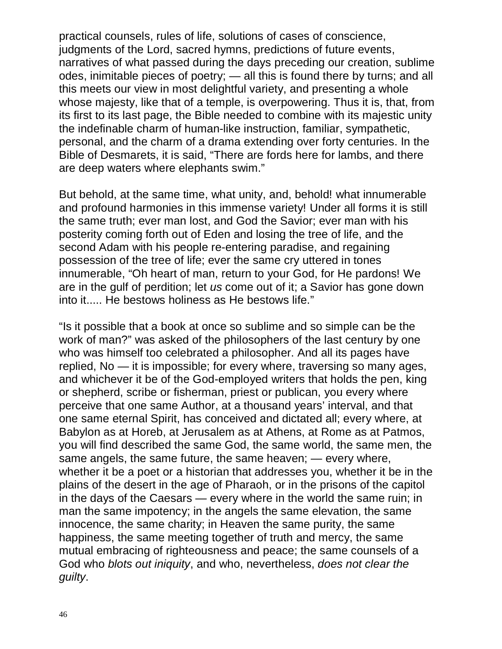practical counsels, rules of life, solutions of cases of conscience, judgments of the Lord, sacred hymns, predictions of future events, narratives of what passed during the days preceding our creation, sublime odes, inimitable pieces of poetry; — all this is found there by turns; and all this meets our view in most delightful variety, and presenting a whole whose majesty, like that of a temple, is overpowering. Thus it is, that, from its first to its last page, the Bible needed to combine with its majestic unity the indefinable charm of human-like instruction, familiar, sympathetic, personal, and the charm of a drama extending over forty centuries. In the Bible of Desmarets, it is said, "There are fords here for lambs, and there are deep waters where elephants swim."

But behold, at the same time, what unity, and, behold! what innumerable and profound harmonies in this immense variety! Under all forms it is still the same truth; ever man lost, and God the Savior; ever man with his posterity coming forth out of Eden and losing the tree of life, and the second Adam with his people re-entering paradise, and regaining possession of the tree of life; ever the same cry uttered in tones innumerable, "Oh heart of man, return to your God, for He pardons! We are in the gulf of perdition; let *us* come out of it; a Savior has gone down into it..... He bestows holiness as He bestows life."

"Is it possible that a book at once so sublime and so simple can be the work of man?" was asked of the philosophers of the last century by one who was himself too celebrated a philosopher. And all its pages have replied, No — it is impossible; for every where, traversing so many ages, and whichever it be of the God-employed writers that holds the pen, king or shepherd, scribe or fisherman, priest or publican, you every where perceive that one same Author, at a thousand years' interval, and that one same eternal Spirit, has conceived and dictated all; every where, at Babylon as at Horeb, at Jerusalem as at Athens, at Rome as at Patmos, you will find described the same God, the same world, the same men, the same angels, the same future, the same heaven; — every where, whether it be a poet or a historian that addresses you, whether it be in the plains of the desert in the age of Pharaoh, or in the prisons of the capitol in the days of the Caesars — every where in the world the same ruin; in man the same impotency; in the angels the same elevation, the same innocence, the same charity; in Heaven the same purity, the same happiness, the same meeting together of truth and mercy, the same mutual embracing of righteousness and peace; the same counsels of a God who *blots out iniquity*, and who, nevertheless, *does not clear the guilty*.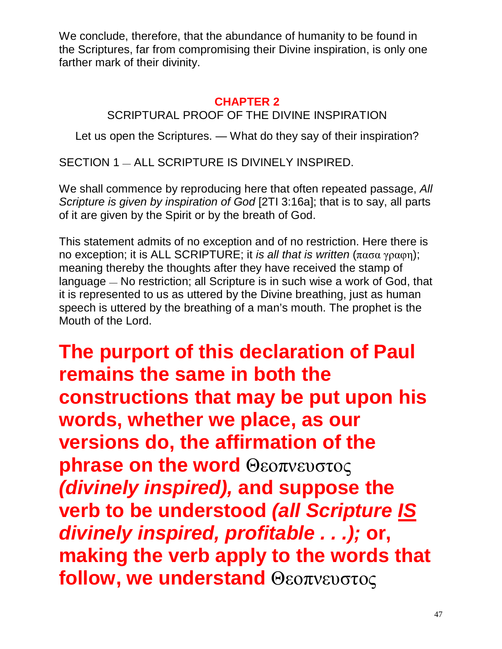We conclude, therefore, that the abundance of humanity to be found in the Scriptures, far from compromising their Divine inspiration, is only one farther mark of their divinity.

#### **CHAPTER 2**

SCRIPTURAL PROOF OF THE DIVINE INSPIRATION

Let us open the Scriptures. — What do they say of their inspiration?

SECTION 1 — ALL SCRIPTURE IS DIVINELY INSPIRED.

We shall commence by reproducing here that often repeated passage, *All Scripture is given by inspiration of God* [2TI 3:16a]; that is to say, all parts of it are given by the Spirit or by the breath of God.

This statement admits of no exception and of no restriction. Here there is no exception; it is ALL SCRIPTURE; it *is all that is written* (πασα γραφη); meaning thereby the thoughts after they have received the stamp of language — No restriction; all Scripture is in such wise a work of God, that it is represented to us as uttered by the Divine breathing, just as human speech is uttered by the breathing of a man's mouth. The prophet is the Mouth of the Lord.

**The purport of this declaration of Paul remains the same in both the constructions that may be put upon his words, whether we place, as our versions do, the affirmation of the phrase on the word** Θεοπνευστος *(divinely inspired),* **and suppose the verb to be understood** *(all Scripture IS divinely inspired, profitable . . .);* **or, making the verb apply to the words that follow, we understand** Θεοπνευστος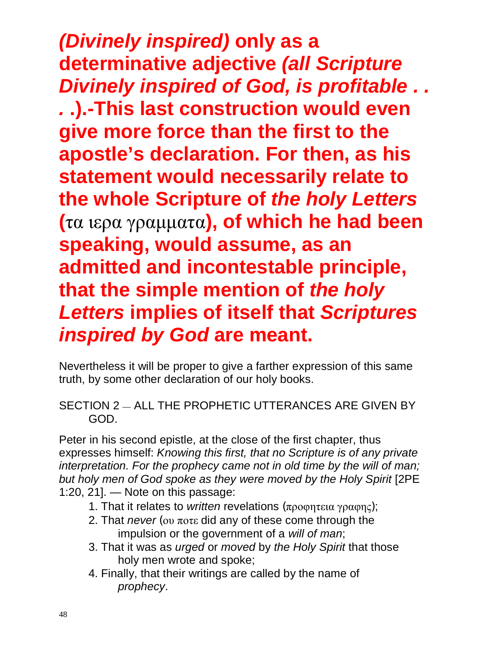*(Divinely inspired)* **only as a determinative adjective** *(all Scripture Divinely inspired of God, is profitable . . .* **.).-This last construction would even give more force than the first to the apostle's declaration. For then, as his statement would necessarily relate to the whole Scripture of** *the holy Letters* **(**τα ιερα γραμματα**), of which he had been speaking, would assume, as an admitted and incontestable principle, that the simple mention of** *the holy Letters* **implies of itself that** *Scriptures inspired by God* **are meant.**

Nevertheless it will be proper to give a farther expression of this same truth, by some other declaration of our holy books.

SECTION 2 — ALL THE PROPHETIC UTTERANCES ARE GIVEN BY GOD.

Peter in his second epistle, at the close of the first chapter, thus expresses himself: *Knowing this first, that no Scripture is of any private interpretation. For the prophecy came not in old time by the will of man; but holy men of God spoke as they were moved by the Holy Spirit* [2PE 1:20, 21]. — Note on this passage:

- 1. That it relates to *written* revelations (προφητεια γραφης);
- 2. That *never* (ου ποτε did any of these come through the impulsion or the government of a *will of man*;
- 3. That it was as *urged* or *moved* by *the Holy Spirit* that those holy men wrote and spoke;
- 4. Finally, that their writings are called by the name of *prophecy*.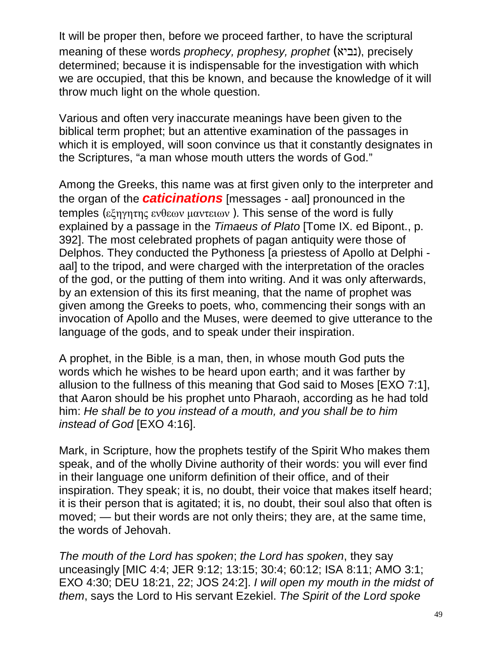It will be proper then, before we proceed farther, to have the scriptural meaning of these words *prophecy, prophesy, prophet* (נביא(, precisely determined; because it is indispensable for the investigation with which we are occupied, that this be known, and because the knowledge of it will throw much light on the whole question.

Various and often very inaccurate meanings have been given to the biblical term prophet; but an attentive examination of the passages in which it is employed, will soon convince us that it constantly designates in the Scriptures, "a man whose mouth utters the words of God."

Among the Greeks, this name was at first given only to the interpreter and the organ of the *caticinations* [messages - aal] pronounced in the temples (εξηγητης ενθεων μαντειων ). This sense of the word is fully explained by a passage in the *Timaeus of Plato* [Tome IX. ed Bipont., p. 392]. The most celebrated prophets of pagan antiquity were those of Delphos. They conducted the Pythoness [a priestess of Apollo at Delphi aal] to the tripod, and were charged with the interpretation of the oracles of the god, or the putting of them into writing. And it was only afterwards, by an extension of this its first meaning, that the name of prophet was given among the Greeks to poets, who, commencing their songs with an invocation of Apollo and the Muses, were deemed to give utterance to the language of the gods, and to speak under their inspiration.

A prophet, in the Bible, is a man, then, in whose mouth God puts the words which he wishes to be heard upon earth; and it was farther by allusion to the fullness of this meaning that God said to Moses [EXO 7:1], that Aaron should be his prophet unto Pharaoh, according as he had told him: *He shall be to you instead of a mouth, and you shall be to him instead of God* [EXO 4:16].

Mark, in Scripture, how the prophets testify of the Spirit Who makes them speak, and of the wholly Divine authority of their words: you will ever find in their language one uniform definition of their office, and of their inspiration. They speak; it is, no doubt, their voice that makes itself heard; it is their person that is agitated; it is, no doubt, their soul also that often is moved; — but their words are not only theirs; they are, at the same time, the words of Jehovah.

*The mouth of the Lord has spoken*; *the Lord has spoken*, they say unceasingly [MIC 4:4; JER 9:12; 13:15; 30:4; 60:12; ISA 8:11; AMO 3:1; EXO 4:30; DEU 18:21, 22; JOS 24:2]. *I will open my mouth in the midst of them*, says the Lord to His servant Ezekiel. *The Spirit of the Lord spoke*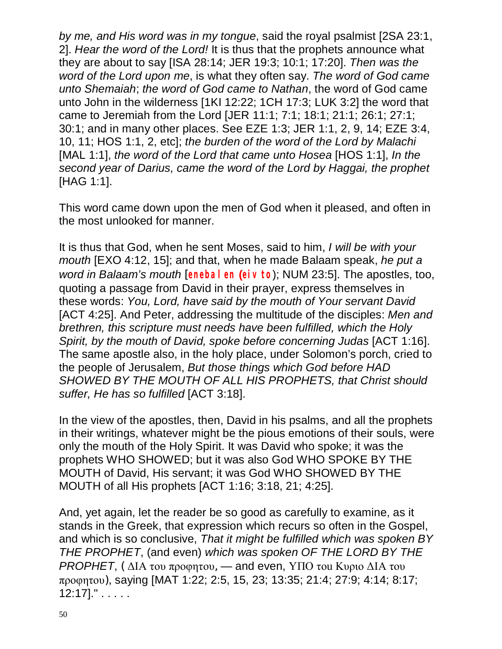*by me, and His word was in my tongue*, said the royal psalmist [2SA 23:1, 2]. *Hear the word of the Lord!* It is thus that the prophets announce what they are about to say [ISA 28:14; JER 19:3; 10:1; 17:20]. *Then was the word of the Lord upon me*, is what they often say. *The word of God came unto Shemaiah*; *the word of God came to Nathan*, the word of God came unto John in the wilderness [1KI 12:22; 1CH 17:3; LUK 3:2] the word that came to Jeremiah from the Lord [JER 11:1; 7:1; 18:1; 21:1; 26:1; 27:1; 30:1; and in many other places. See EZE 1:3; JER 1:1, 2, 9, 14; EZE 3:4, 10, 11; HOS 1:1, 2, etc]; *the burden of the word of the Lord by Malachi* [MAL 1:1], *the word of the Lord that came unto Hosea* [HOS 1:1], *In the second year of Darius, came the word of the Lord by Haggai, the prophet* [HAG 1:1].

This word came down upon the men of God when it pleased, and often in the most unlooked for manner.

It is thus that God, when he sent Moses, said to him, *I will be with your mouth* [EXO 4:12, 15]; and that, when he made Balaam speak, *he put a word in Balaam's mouth* [**enebalen (eiv to**); NUM 23:5]. The apostles, too, quoting a passage from David in their prayer, express themselves in these words: *You, Lord, have said by the mouth of Your servant David* [ACT 4:25]. And Peter, addressing the multitude of the disciples: *Men and brethren, this scripture must needs have been fulfilled, which the Holy Spirit, by the mouth of David, spoke before concerning Judas* [ACT 1:16]. The same apostle also, in the holy place, under Solomon's porch, cried to the people of Jerusalem, *But those things which God before HAD SHOWED BY THE MOUTH OF ALL HIS PROPHETS, that Christ should suffer, He has so fulfilled* [ACT 3:18].

In the view of the apostles, then, David in his psalms, and all the prophets in their writings, whatever might be the pious emotions of their souls, were only the mouth of the Holy Spirit. It was David who spoke; it was the prophets WHO SHOWED; but it was also God WHO SPOKE BY THE MOUTH of David, His servant; it was God WHO SHOWED BY THE MOUTH of all His prophets [ACT 1:16; 3:18, 21; 4:25].

And, yet again, let the reader be so good as carefully to examine, as it stands in the Greek, that expression which recurs so often in the Gospel, and which is so conclusive, *That it might be fulfilled which was spoken BY THE PROPHET*, (and even) *which was spoken OF THE LORD BY THE PROPHET*, ( ΔΙΑ του προφητου, — and even, ΥΠΟ τοu Κυριο ΔΙΑ του προφητου), saying [MAT 1:22; 2:5, 15, 23; 13:35; 21:4; 27:9; 4:14; 8:17; 12:17]." . . . . .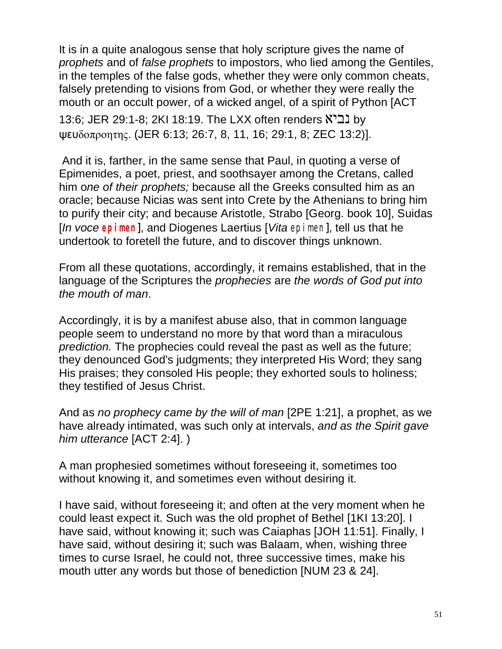It is in a quite analogous sense that holy scripture gives the name of *prophets* and of *false prophets* to impostors, who lied among the Gentiles, in the temples of the false gods, whether they were only common cheats, falsely pretending to visions from God, or whether they were really the mouth or an occult power, of a wicked angel, of a spirit of Python [ACT

13:6; JER 29:1-8; 2KI 18:19. The LXX often renders נביא by ψευδοπροητης. (JER 6:13; 26:7, 8, 11, 16; 29:1, 8; ZEC 13:2)].

And it is, farther, in the same sense that Paul, in quoting a verse of Epimenides, a poet, priest, and soothsayer among the Cretans, called him o*ne of their prophets;* because all the Greeks consulted him as an oracle; because Nicias was sent into Crete by the Athenians to bring him to purify their city; and because Aristotle, Strabo [Georg. book 10], Suidas [*In voce* **epimen**], and Diogenes Laertius [*Vita* epimen], tell us that he undertook to foretell the future, and to discover things unknown.

From all these quotations, accordingly, it remains established, that in the language of the Scriptures the *prophecies* are *the words of God put into the mouth of man*.

Accordingly, it is by a manifest abuse also, that in common language people seem to understand no more by that word than a miraculous *prediction.* The prophecies could reveal the past as well as the future; they denounced God's judgments; they interpreted His Word; they sang His praises; they consoled His people; they exhorted souls to holiness; they testified of Jesus Christ.

And as *no prophecy came by the will of man* [2PE 1:21], a prophet, as we have already intimated, was such only at intervals, *and as the Spirit gave him utterance* [ACT 2:4]. )

A man prophesied sometimes without foreseeing it, sometimes too without knowing it, and sometimes even without desiring it.

I have said, without foreseeing it; and often at the very moment when he could least expect it. Such was the old prophet of Bethel [1KI 13:20]. I have said, without knowing it; such was Caiaphas [JOH 11:51]. Finally, I have said, without desiring it; such was Balaam, when, wishing three times to curse Israel, he could not, three successive times, make his mouth utter any words but those of benediction [NUM 23 & 24].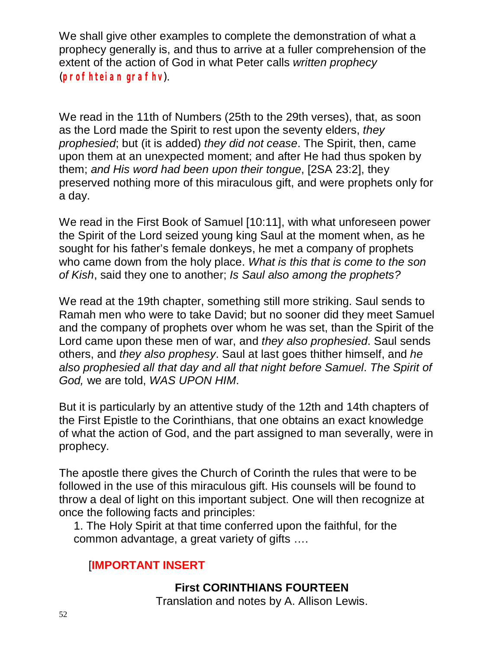We shall give other examples to complete the demonstration of what a prophecy generally is, and thus to arrive at a fuller comprehension of the extent of the action of God in what Peter calls *written prophecy* (**profhteian grafhv**).

We read in the 11th of Numbers (25th to the 29th verses), that, as soon as the Lord made the Spirit to rest upon the seventy elders, *they prophesied*; but (it is added) *they did not cease*. The Spirit, then, came upon them at an unexpected moment; and after He had thus spoken by them; *and His word had been upon their tongue*, [2SA 23:2], they preserved nothing more of this miraculous gift, and were prophets only for a day.

We read in the First Book of Samuel [10:11], with what unforeseen power the Spirit of the Lord seized young king Saul at the moment when, as he sought for his father's female donkeys, he met a company of prophets who came down from the holy place. *What is this that is come to the son of Kish*, said they one to another; *Is Saul also among the prophets?*

We read at the 19th chapter, something still more striking. Saul sends to Ramah men who were to take David; but no sooner did they meet Samuel and the company of prophets over whom he was set, than the Spirit of the Lord came upon these men of war, and *they also prophesied*. Saul sends others, and *they also prophesy*. Saul at last goes thither himself, and *he also prophesied all that day and all that night before Samuel*. *The Spirit of God,* we are told, *WAS UPON HIM*.

But it is particularly by an attentive study of the 12th and 14th chapters of the First Epistle to the Corinthians, that one obtains an exact knowledge of what the action of God, and the part assigned to man severally, were in prophecy.

The apostle there gives the Church of Corinth the rules that were to be followed in the use of this miraculous gift. His counsels will be found to throw a deal of light on this important subject. One will then recognize at once the following facts and principles:

1. The Holy Spirit at that time conferred upon the faithful, for the common advantage, a great variety of gifts ….

# [**IMPORTANT INSERT**

#### **First CORINTHIANS FOURTEEN**

Translation and notes by A. Allison Lewis.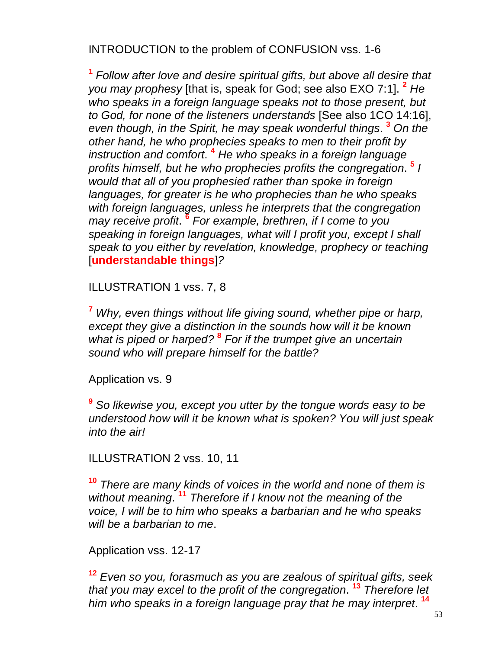INTRODUCTION to the problem of CONFUSION vss. 1-6

**1** *Follow after love and desire spiritual gifts, but above all desire that you may prophesy* [that is, speak for God; see also EXO 7:1]. **<sup>2</sup>** *He who speaks in a foreign language speaks not to those present, but to God, for none of the listeners understands* [See also 1CO 14:16], *even though, in the Spirit, he may speak wonderful things*. **<sup>3</sup>** *On the other hand, he who prophecies speaks to men to their profit by instruction and comfort*. **<sup>4</sup>** *He who speaks in a foreign language profits himself, but he who prophecies profits the congregation*. **5** *I would that all of you prophesied rather than spoke in foreign languages, for greater is he who prophecies than he who speaks with foreign languages, unless he interprets that the congregation may receive profit*. **6** *For example, brethren, if I come to you speaking in foreign languages, what will I profit you, except I shall speak to you either by revelation, knowledge, prophecy or teaching* [**understandable things**]*?*

ILLUSTRATION 1 vss. 7, 8

**<sup>7</sup>** *Why, even things without life giving sound, whether pipe or harp, except they give a distinction in the sounds how will it be known what is piped or harped?* **<sup>8</sup>** *For if the trumpet give an uncertain sound who will prepare himself for the battle?*

Application vs. 9

**<sup>9</sup>** *So likewise you, except you utter by the tongue words easy to be understood how will it be known what is spoken? You will just speak into the air!*

ILLUSTRATION 2 vss. 10, 11

**<sup>10</sup>** *There are many kinds of voices in the world and none of them is without meaning*. **<sup>11</sup>** *Therefore if I know not the meaning of the voice, I will be to him who speaks a barbarian and he who speaks will be a barbarian to me*.

Application vss. 12-17

**<sup>12</sup>** *Even so you, forasmuch as you are zealous of spiritual gifts, seek that you may excel to the profit of the congregation*. **<sup>13</sup>** *Therefore let him who speaks in a foreign language pray that he may interpret*. **14**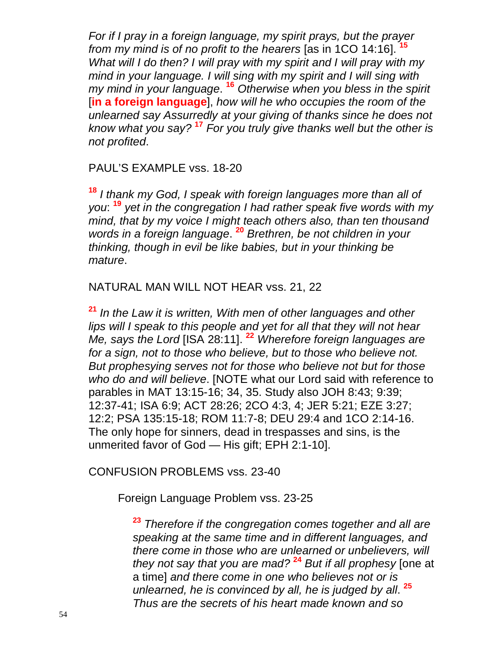*For if I pray in a foreign language, my spirit prays, but the prayer from my mind is of no profit to the hearers* [as in 1CO 14:16]. **<sup>15</sup>** *What will I do then? I will pray with my spirit and I will pray with my mind in your language. I will sing with my spirit and I will sing with my mind in your language*. **<sup>16</sup>** *Otherwise when you bless in the spirit* [**in a foreign language**], *how will he who occupies the room of the unlearned say Assurredly at your giving of thanks since he does not know what you say?* **<sup>17</sup>** *For you truly give thanks well but the other is not profited*.

PAUL'S EXAMPLE vss. 18-20

**<sup>18</sup>** *I thank my God, I speak with foreign languages more than all of you*: **<sup>19</sup>** *yet in the congregation I had rather speak five words with my mind, that by my voice I might teach others also, than ten thousand words in a foreign language*. **<sup>20</sup>** *Brethren, be not children in your thinking, though in evil be like babies, but in your thinking be mature*.

NATURAL MAN WILL NOT HEAR vss. 21, 22

**<sup>21</sup>** *In the Law it is written, With men of other languages and other lips will I speak to this people and yet for all that they will not hear Me, says the Lord* [ISA 28:11]. **<sup>22</sup>** *Wherefore foreign languages are for a sign, not to those who believe, but to those who believe not. But prophesying serves not for those who believe not but for those who do and will believe*. [NOTE what our Lord said with reference to parables in MAT 13:15-16; 34, 35. Study also JOH 8:43; 9:39; 12:37-41; ISA 6:9; ACT 28:26; 2CO 4:3, 4; JER 5:21; EZE 3:27; 12:2; PSA 135:15-18; ROM 11:7-8; DEU 29:4 and 1CO 2:14-16. The only hope for sinners, dead in trespasses and sins, is the unmerited favor of God — His gift; EPH 2:1-10].

CONFUSION PROBLEMS vss. 23-40

Foreign Language Problem vss. 23-25

**<sup>23</sup>** *Therefore if the congregation comes together and all are speaking at the same time and in different languages, and there come in those who are unlearned or unbelievers, will they not say that you are mad?* **<sup>24</sup>** *But if all prophesy* [one at a time] *and there come in one who believes not or is unlearned, he is convinced by all, he is judged by all*. **25** *Thus are the secrets of his heart made known and so*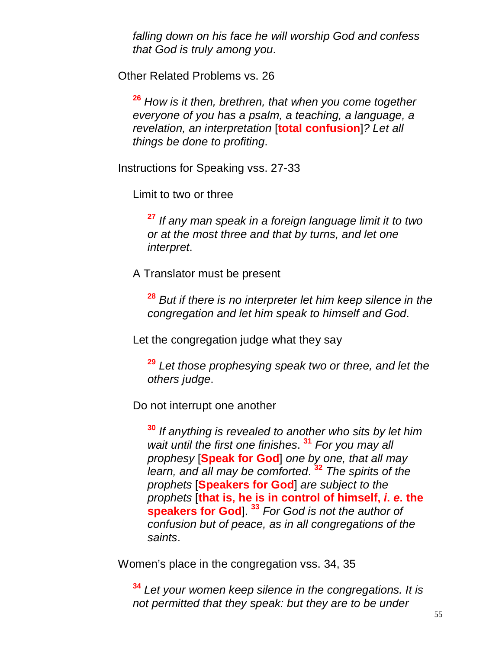*falling down on his face he will worship God and confess that God is truly among you*.

Other Related Problems vs. 26

**<sup>26</sup>** *How is it then, brethren, that when you come together everyone of you has a psalm, a teaching, a language, a revelation, an interpretation* [**total confusion**]*? Let all things be done to profiting*.

Instructions for Speaking vss. 27-33

Limit to two or three

**<sup>27</sup>** *If any man speak in a foreign language limit it to two or at the most three and that by turns, and let one interpret*.

A Translator must be present

**<sup>28</sup>** *But if there is no interpreter let him keep silence in the congregation and let him speak to himself and God*.

Let the congregation judge what they say

**<sup>29</sup>** *Let those prophesying speak two or three, and let the others judge*.

Do not interrupt one another

**<sup>30</sup>** *If anything is revealed to another who sits by let him wait until the first one finishes*. **<sup>31</sup>** *For you may all prophesy* [**Speak for God**] *one by one, that all may learn, and all may be comforted*. **<sup>32</sup>** *The spirits of the prophets* [**Speakers for God**] *are subject to the prophets* [**that is, he is in control of himself,** *i***.** *e***. the speakers for God**]. **<sup>33</sup>** *For God is not the author of confusion but of peace, as in all congregations of the saints*.

Women's place in the congregation vss. 34, 35

**<sup>34</sup>** *Let your women keep silence in the congregations. It is not permitted that they speak: but they are to be under*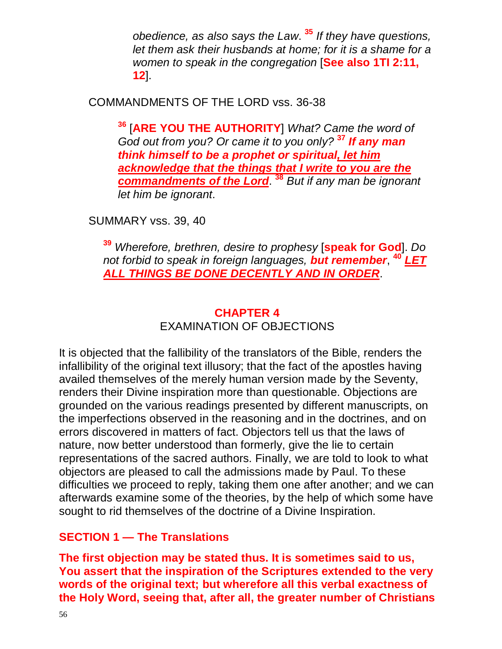*obedience, as also says the Law*. **<sup>35</sup>** *If they have questions, let them ask their husbands at home; for it is a shame for a women to speak in the congregation* [**See also 1TI 2:11, 12**].

COMMANDMENTS OF THE LORD vss. 36-38

**<sup>36</sup>** [**ARE YOU THE AUTHORITY**] *What? Came the word of God out from you? Or came it to you only?* **<sup>37</sup>** *If any man think himself to be a prophet or spiritual, let him acknowledge that the things that I write to you are the commandments of the Lord*. **<sup>38</sup>** *But if any man be ignorant let him be ignorant*.

SUMMARY vss. 39, 40

**<sup>39</sup>** *Wherefore, brethren, desire to prophesy* [**speak for God**]. *Do not forbid to speak in foreign languages, but remember*, **<sup>40</sup>** *LET ALL THINGS BE DONE DECENTLY AND IN ORDER*.

#### **CHAPTER 4** EXAMINATION OF OBJECTIONS

It is objected that the fallibility of the translators of the Bible, renders the infallibility of the original text illusory; that the fact of the apostles having availed themselves of the merely human version made by the Seventy, renders their Divine inspiration more than questionable. Objections are grounded on the various readings presented by different manuscripts, on the imperfections observed in the reasoning and in the doctrines, and on errors discovered in matters of fact. Objectors tell us that the laws of nature, now better understood than formerly, give the lie to certain representations of the sacred authors. Finally, we are told to look to what objectors are pleased to call the admissions made by Paul. To these difficulties we proceed to reply, taking them one after another; and we can afterwards examine some of the theories, by the help of which some have sought to rid themselves of the doctrine of a Divine Inspiration.

# **SECTION 1 — The Translations**

**The first objection may be stated thus. It is sometimes said to us, You assert that the inspiration of the Scriptures extended to the very words of the original text; but wherefore all this verbal exactness of the Holy Word, seeing that, after all, the greater number of Christians**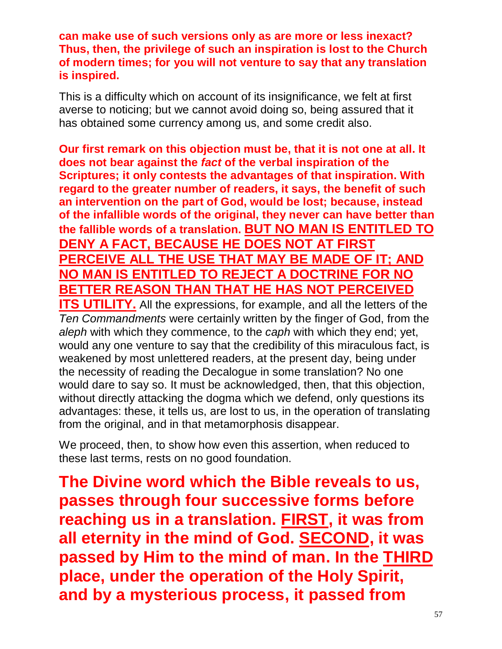**can make use of such versions only as are more or less inexact? Thus, then, the privilege of such an inspiration is lost to the Church of modern times; for you will not venture to say that any translation is inspired.**

This is a difficulty which on account of its insignificance, we felt at first averse to noticing; but we cannot avoid doing so, being assured that it has obtained some currency among us, and some credit also.

**Our first remark on this objection must be, that it is not one at all. It does not bear against the** *fact* **of the verbal inspiration of the Scriptures; it only contests the advantages of that inspiration. With regard to the greater number of readers, it says, the benefit of such an intervention on the part of God, would be lost; because, instead of the infallible words of the original, they never can have better than the fallible words of a translation. BUT NO MAN IS ENTITLED TO DENY A FACT, BECAUSE HE DOES NOT AT FIRST PERCEIVE ALL THE USE THAT MAY BE MADE OF IT; AND NO MAN IS ENTITLED TO REJECT A DOCTRINE FOR NO BETTER REASON THAN THAT HE HAS NOT PERCEIVED**

**ITS UTILITY.** All the expressions, for example, and all the letters of the *Ten Commandments* were certainly written by the finger of God, from the *aleph* with which they commence, to the *caph* with which they end; yet, would any one venture to say that the credibility of this miraculous fact, is weakened by most unlettered readers, at the present day, being under the necessity of reading the Decalogue in some translation? No one would dare to say so. It must be acknowledged, then, that this objection, without directly attacking the dogma which we defend, only questions its advantages: these, it tells us, are lost to us, in the operation of translating from the original, and in that metamorphosis disappear.

We proceed, then, to show how even this assertion, when reduced to these last terms, rests on no good foundation.

**The Divine word which the Bible reveals to us, passes through four successive forms before reaching us in a translation. FIRST, it was from all eternity in the mind of God. SECOND, it was passed by Him to the mind of man. In the THIRD place, under the operation of the Holy Spirit, and by a mysterious process, it passed from**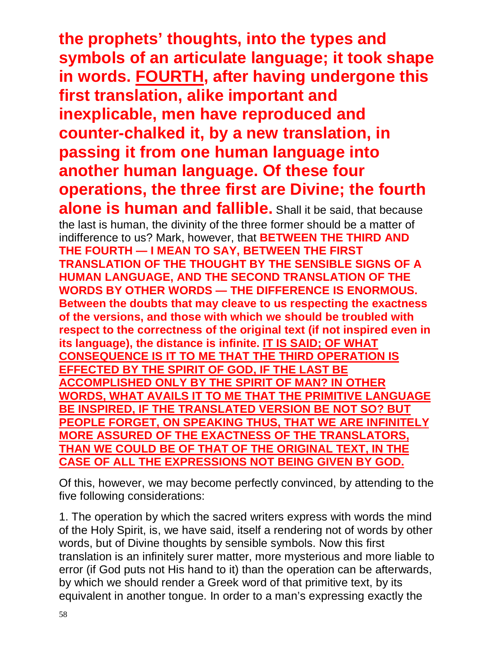**the prophets' thoughts, into the types and symbols of an articulate language; it took shape in words. FOURTH, after having undergone this first translation, alike important and inexplicable, men have reproduced and counter-chalked it, by a new translation, in passing it from one human language into another human language. Of these four operations, the three first are Divine; the fourth alone is human and fallible.** Shall it be said, that because the last is human, the divinity of the three former should be a matter of indifference to us? Mark, however, that **BETWEEN THE THIRD AND THE FOURTH — I MEAN TO SAY, BETWEEN THE FIRST TRANSLATION OF THE THOUGHT BY THE SENSIBLE SIGNS OF A HUMAN LANGUAGE, AND THE SECOND TRANSLATION OF THE WORDS BY OTHER WORDS — THE DIFFERENCE IS ENORMOUS. Between the doubts that may cleave to us respecting the exactness of the versions, and those with which we should be troubled with respect to the correctness of the original text (if not inspired even in its language), the distance is infinite. IT IS SAID; OF WHAT CONSEQUENCE IS IT TO ME THAT THE THIRD OPERATION IS EFFECTED BY THE SPIRIT OF GOD, IF THE LAST BE ACCOMPLISHED ONLY BY THE SPIRIT OF MAN? IN OTHER WORDS, WHAT AVAILS IT TO ME THAT THE PRIMITIVE LANGUAGE BE INSPIRED, IF THE TRANSLATED VERSION BE NOT SO? BUT PEOPLE FORGET, ON SPEAKING THUS, THAT WE ARE INFINITELY MORE ASSURED OF THE EXACTNESS OF THE TRANSLATORS, THAN WE COULD BE OF THAT OF THE ORIGINAL TEXT, IN THE CASE OF ALL THE EXPRESSIONS NOT BEING GIVEN BY GOD.**

Of this, however, we may become perfectly convinced, by attending to the five following considerations:

1. The operation by which the sacred writers express with words the mind of the Holy Spirit, is, we have said, itself a rendering not of words by other words, but of Divine thoughts by sensible symbols. Now this first translation is an infinitely surer matter, more mysterious and more liable to error (if God puts not His hand to it) than the operation can be afterwards, by which we should render a Greek word of that primitive text, by its equivalent in another tongue. In order to a man's expressing exactly the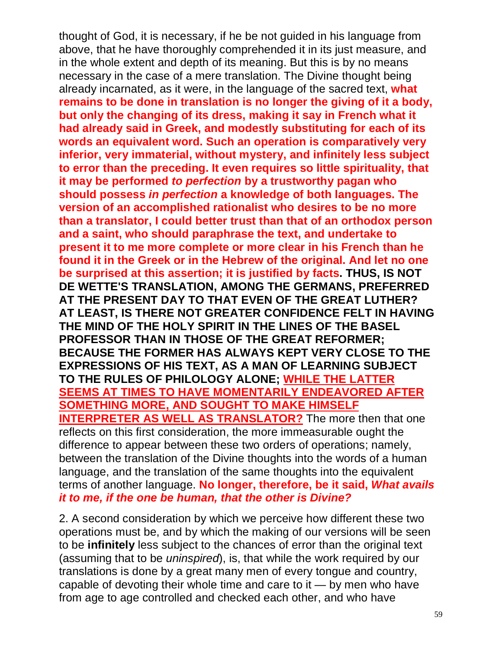thought of God, it is necessary, if he be not guided in his language from above, that he have thoroughly comprehended it in its just measure, and in the whole extent and depth of its meaning. But this is by no means necessary in the case of a mere translation. The Divine thought being already incarnated, as it were, in the language of the sacred text, **what remains to be done in translation is no longer the giving of it a body, but only the changing of its dress, making it say in French what it had already said in Greek, and modestly substituting for each of its words an equivalent word. Such an operation is comparatively very inferior, very immaterial, without mystery, and infinitely less subject to error than the preceding. It even requires so little spirituality, that it may be performed** *to perfection* **by a trustworthy pagan who should possess** *in perfection* **a knowledge of both languages. The version of an accomplished rationalist who desires to be no more than a translator, I could better trust than that of an orthodox person and a saint, who should paraphrase the text, and undertake to present it to me more complete or more clear in his French than he found it in the Greek or in the Hebrew of the original. And let no one be surprised at this assertion; it is justified by facts. THUS, IS NOT DE WETTE'S TRANSLATION, AMONG THE GERMANS, PREFERRED AT THE PRESENT DAY TO THAT EVEN OF THE GREAT LUTHER? AT LEAST, IS THERE NOT GREATER CONFIDENCE FELT IN HAVING THE MIND OF THE HOLY SPIRIT IN THE LINES OF THE BASEL PROFESSOR THAN IN THOSE OF THE GREAT REFORMER; BECAUSE THE FORMER HAS ALWAYS KEPT VERY CLOSE TO THE EXPRESSIONS OF HIS TEXT, AS A MAN OF LEARNING SUBJECT TO THE RULES OF PHILOLOGY ALONE; WHILE THE LATTER SEEMS AT TIMES TO HAVE MOMENTARILY ENDEAVORED AFTER SOMETHING MORE, AND SOUGHT TO MAKE HIMSELF INTERPRETER AS WELL AS TRANSLATOR?** The more then that one reflects on this first consideration, the more immeasurable ought the difference to appear between these two orders of operations; namely, between the translation of the Divine thoughts into the words of a human language, and the translation of the same thoughts into the equivalent terms of another language. **No longer, therefore, be it said,** *What avails it to me, if the one be human, that the other is Divine?*

2. A second consideration by which we perceive how different these two operations must be, and by which the making of our versions will be seen to be **infinitely** less subject to the chances of error than the original text (assuming that to be *uninspired*), is, that while the work required by our translations is done by a great many men of every tongue and country, capable of devoting their whole time and care to it — by men who have from age to age controlled and checked each other, and who have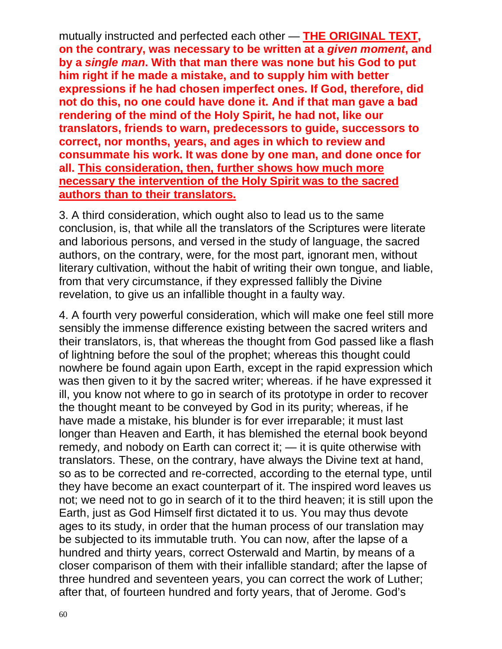mutually instructed and perfected each other — **THE ORIGINAL TEXT, on the contrary, was necessary to be written at a** *given moment***, and by a** *single man***. With that man there was none but his God to put him right if he made a mistake, and to supply him with better expressions if he had chosen imperfect ones. If God, therefore, did not do this, no one could have done it. And if that man gave a bad rendering of the mind of the Holy Spirit, he had not, like our translators, friends to warn, predecessors to guide, successors to correct, nor months, years, and ages in which to review and consummate his work. It was done by one man, and done once for all. This consideration, then, further shows how much more necessary the intervention of the Holy Spirit was to the sacred authors than to their translators.**

3. A third consideration, which ought also to lead us to the same conclusion, is, that while all the translators of the Scriptures were literate and laborious persons, and versed in the study of language, the sacred authors, on the contrary, were, for the most part, ignorant men, without literary cultivation, without the habit of writing their own tongue, and liable, from that very circumstance, if they expressed fallibly the Divine revelation, to give us an infallible thought in a faulty way.

4. A fourth very powerful consideration, which will make one feel still more sensibly the immense difference existing between the sacred writers and their translators, is, that whereas the thought from God passed like a flash of lightning before the soul of the prophet; whereas this thought could nowhere be found again upon Earth, except in the rapid expression which was then given to it by the sacred writer; whereas. if he have expressed it ill, you know not where to go in search of its prototype in order to recover the thought meant to be conveyed by God in its purity; whereas, if he have made a mistake, his blunder is for ever irreparable; it must last longer than Heaven and Earth, it has blemished the eternal book beyond remedy, and nobody on Earth can correct it; — it is quite otherwise with translators. These, on the contrary, have always the Divine text at hand, so as to be corrected and re-corrected, according to the eternal type, until they have become an exact counterpart of it. The inspired word leaves us not; we need not to go in search of it to the third heaven; it is still upon the Earth, just as God Himself first dictated it to us. You may thus devote ages to its study, in order that the human process of our translation may be subjected to its immutable truth. You can now, after the lapse of a hundred and thirty years, correct Osterwald and Martin, by means of a closer comparison of them with their infallible standard; after the lapse of three hundred and seventeen years, you can correct the work of Luther; after that, of fourteen hundred and forty years, that of Jerome. God's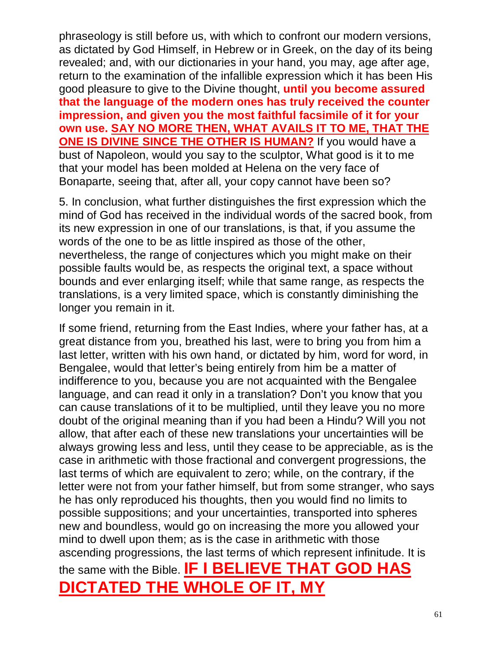phraseology is still before us, with which to confront our modern versions, as dictated by God Himself, in Hebrew or in Greek, on the day of its being revealed; and, with our dictionaries in your hand, you may, age after age, return to the examination of the infallible expression which it has been His good pleasure to give to the Divine thought, **until you become assured that the language of the modern ones has truly received the counter impression, and given you the most faithful facsimile of it for your own use. SAY NO MORE THEN, WHAT AVAILS IT TO ME, THAT THE ONE IS DIVINE SINCE THE OTHER IS HUMAN?** If you would have a bust of Napoleon, would you say to the sculptor, What good is it to me that your model has been molded at Helena on the very face of Bonaparte, seeing that, after all, your copy cannot have been so?

5. In conclusion, what further distinguishes the first expression which the mind of God has received in the individual words of the sacred book, from its new expression in one of our translations, is that, if you assume the words of the one to be as little inspired as those of the other, nevertheless, the range of conjectures which you might make on their possible faults would be, as respects the original text, a space without bounds and ever enlarging itself; while that same range, as respects the translations, is a very limited space, which is constantly diminishing the longer you remain in it.

If some friend, returning from the East Indies, where your father has, at a great distance from you, breathed his last, were to bring you from him a last letter, written with his own hand, or dictated by him, word for word, in Bengalee, would that letter's being entirely from him be a matter of indifference to you, because you are not acquainted with the Bengalee language, and can read it only in a translation? Don't you know that you can cause translations of it to be multiplied, until they leave you no more doubt of the original meaning than if you had been a Hindu? Will you not allow, that after each of these new translations your uncertainties will be always growing less and less, until they cease to be appreciable, as is the case in arithmetic with those fractional and convergent progressions, the last terms of which are equivalent to zero; while, on the contrary, if the letter were not from your father himself, but from some stranger, who says he has only reproduced his thoughts, then you would find no limits to possible suppositions; and your uncertainties, transported into spheres new and boundless, would go on increasing the more you allowed your mind to dwell upon them; as is the case in arithmetic with those ascending progressions, the last terms of which represent infinitude. It is the same with the Bible. **IF I BELIEVE THAT GOD HAS DICTATED THE WHOLE OF IT, MY**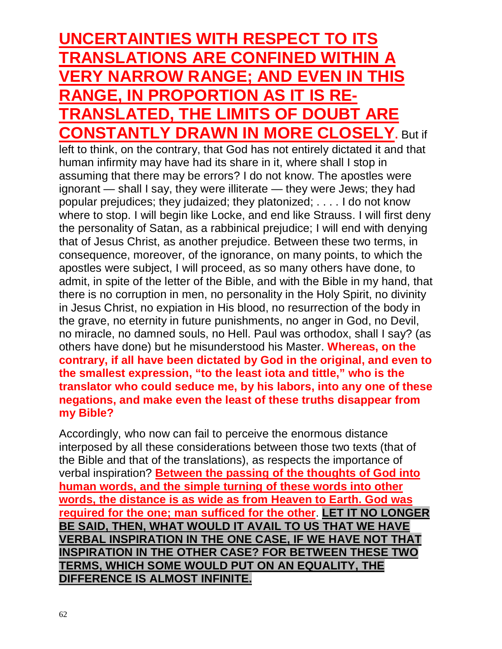# **UNCERTAINTIES WITH RESPECT TO ITS TRANSLATIONS ARE CONFINED WITHIN A VERY NARROW RANGE; AND EVEN IN THIS RANGE, IN PROPORTION AS IT IS RE-TRANSLATED, THE LIMITS OF DOUBT ARE CONSTANTLY DRAWN IN MORE CLOSELY.** But if

left to think, on the contrary, that God has not entirely dictated it and that human infirmity may have had its share in it, where shall I stop in assuming that there may be errors? I do not know. The apostles were ignorant — shall I say, they were illiterate — they were Jews; they had popular prejudices; they judaized; they platonized; . . . . I do not know where to stop. I will begin like Locke, and end like Strauss. I will first deny the personality of Satan, as a rabbinical prejudice; I will end with denying that of Jesus Christ, as another prejudice. Between these two terms, in consequence, moreover, of the ignorance, on many points, to which the apostles were subject, I will proceed, as so many others have done, to admit, in spite of the letter of the Bible, and with the Bible in my hand, that there is no corruption in men, no personality in the Holy Spirit, no divinity in Jesus Christ, no expiation in His blood, no resurrection of the body in the grave, no eternity in future punishments, no anger in God, no Devil, no miracle, no damned souls, no Hell. Paul was orthodox, shall I say? (as others have done) but he misunderstood his Master. **Whereas, on the contrary, if all have been dictated by God in the original, and even to the smallest expression, "to the least iota and tittle," who is the translator who could seduce me, by his labors, into any one of these negations, and make even the least of these truths disappear from my Bible?**

Accordingly, who now can fail to perceive the enormous distance interposed by all these considerations between those two texts (that of the Bible and that of the translations), as respects the importance of verbal inspiration? **Between the passing of the thoughts of God into human words, and the simple turning of these words into other words, the distance is as wide as from Heaven to Earth. God was required for the one; man sufficed for the other**. **LET IT NO LONGER BE SAID, THEN, WHAT WOULD IT AVAIL TO US THAT WE HAVE VERBAL INSPIRATION IN THE ONE CASE, IF WE HAVE NOT THAT INSPIRATION IN THE OTHER CASE? FOR BETWEEN THESE TWO TERMS, WHICH SOME WOULD PUT ON AN EQUALITY, THE DIFFERENCE IS ALMOST INFINITE.**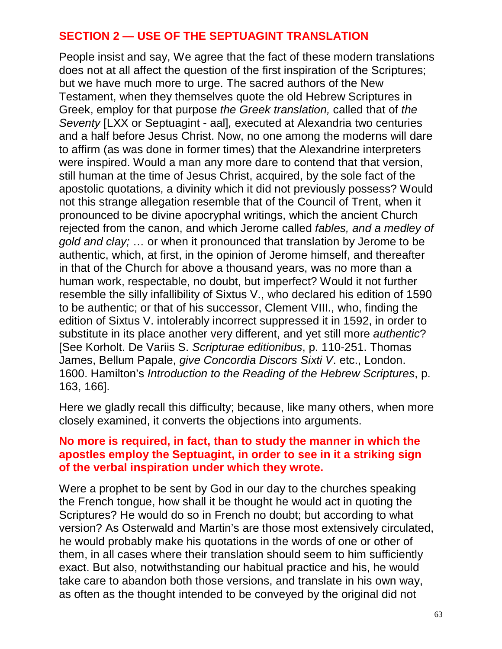### **SECTION 2 — USE OF THE SEPTUAGINT TRANSLATION**

People insist and say, We agree that the fact of these modern translations does not at all affect the question of the first inspiration of the Scriptures; but we have much more to urge. The sacred authors of the New Testament, when they themselves quote the old Hebrew Scriptures in Greek, employ for that purpose *the Greek translation,* called that of *the Seventy* [LXX or Septuagint - aal]*,* executed at Alexandria two centuries and a half before Jesus Christ. Now, no one among the moderns will dare to affirm (as was done in former times) that the Alexandrine interpreters were inspired. Would a man any more dare to contend that that version, still human at the time of Jesus Christ, acquired, by the sole fact of the apostolic quotations, a divinity which it did not previously possess? Would not this strange allegation resemble that of the Council of Trent, when it pronounced to be divine apocryphal writings, which the ancient Church rejected from the canon, and which Jerome called *fables, and a medley of gold and clay;* … or when it pronounced that translation by Jerome to be authentic, which, at first, in the opinion of Jerome himself, and thereafter in that of the Church for above a thousand years, was no more than a human work, respectable, no doubt, but imperfect? Would it not further resemble the silly infallibility of Sixtus V., who declared his edition of 1590 to be authentic; or that of his successor, Clement VIII., who, finding the edition of Sixtus V. intolerably incorrect suppressed it in 1592, in order to substitute in its place another very different, and yet still more *authentic*? [See Korholt. De Variis S. *Scripturae editionibus*, p. 110-251. Thomas James, Bellum Papale, *give Concordia Discors Sixti V*. etc., London. 1600. Hamilton's *Introduction to the Reading of the Hebrew Scriptures*, p. 163, 166].

Here we gladly recall this difficulty; because, like many others, when more closely examined, it converts the objections into arguments.

#### **No more is required, in fact, than to study the manner in which the apostles employ the Septuagint, in order to see in it a striking sign of the verbal inspiration under which they wrote.**

Were a prophet to be sent by God in our day to the churches speaking the French tongue, how shall it be thought he would act in quoting the Scriptures? He would do so in French no doubt; but according to what version? As Osterwald and Martin's are those most extensively circulated, he would probably make his quotations in the words of one or other of them, in all cases where their translation should seem to him sufficiently exact. But also, notwithstanding our habitual practice and his, he would take care to abandon both those versions, and translate in his own way, as often as the thought intended to be conveyed by the original did not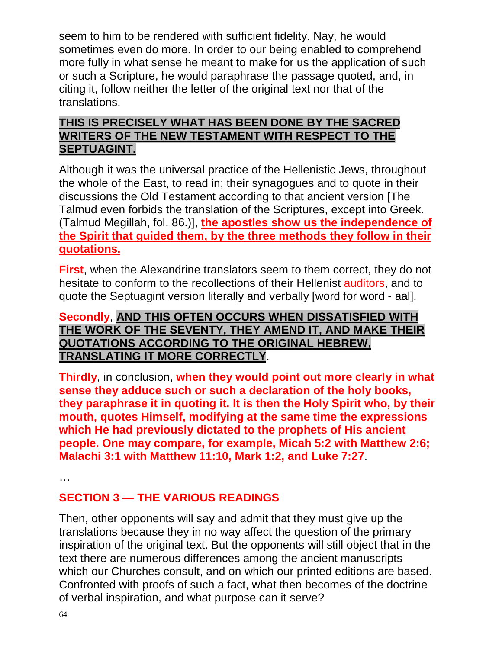seem to him to be rendered with sufficient fidelity. Nay, he would sometimes even do more. In order to our being enabled to comprehend more fully in what sense he meant to make for us the application of such or such a Scripture, he would paraphrase the passage quoted, and, in citing it, follow neither the letter of the original text nor that of the translations.

### **THIS IS PRECISELY WHAT HAS BEEN DONE BY THE SACRED WRITERS OF THE NEW TESTAMENT WITH RESPECT TO THE SEPTUAGINT.**

Although it was the universal practice of the Hellenistic Jews, throughout the whole of the East, to read in; their synagogues and to quote in their discussions the Old Testament according to that ancient version [The Talmud even forbids the translation of the Scriptures, except into Greek. (Talmud Megillah, fol. 86.)], **the apostles show us the independence of the Spirit that guided them, by the three methods they follow in their quotations.**

**First**, when the Alexandrine translators seem to them correct, they do not hesitate to conform to the recollections of their Hellenist auditors, and to quote the Septuagint version literally and verbally [word for word - aal].

#### **Secondly**, **AND THIS OFTEN OCCURS WHEN DISSATISFIED WITH THE WORK OF THE SEVENTY, THEY AMEND IT, AND MAKE THEIR QUOTATIONS ACCORDING TO THE ORIGINAL HEBREW, TRANSLATING IT MORE CORRECTLY**.

**Thirdly**, in conclusion, **when they would point out more clearly in what sense they adduce such or such a declaration of the holy books, they paraphrase it in quoting it. It is then the Holy Spirit who, by their mouth, quotes Himself, modifying at the same time the expressions which He had previously dictated to the prophets of His ancient people. One may compare, for example, Micah 5:2 with Matthew 2:6; Malachi 3:1 with Matthew 11:10, Mark 1:2, and Luke 7:27**.

…

# **SECTION 3 — THE VARIOUS READINGS**

Then, other opponents will say and admit that they must give up the translations because they in no way affect the question of the primary inspiration of the original text. But the opponents will still object that in the text there are numerous differences among the ancient manuscripts which our Churches consult, and on which our printed editions are based. Confronted with proofs of such a fact, what then becomes of the doctrine of verbal inspiration, and what purpose can it serve?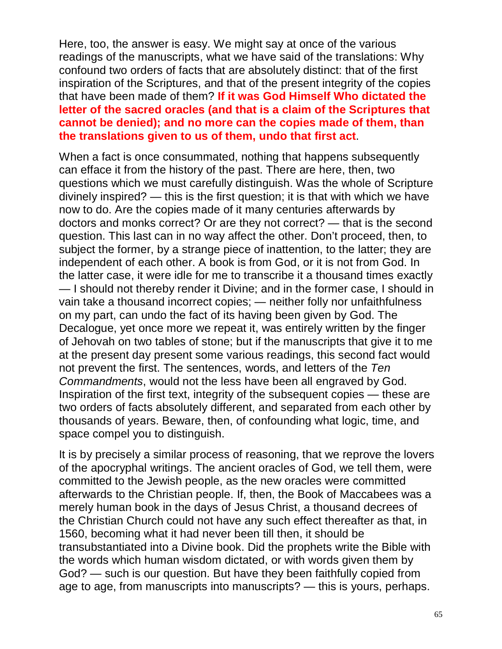Here, too, the answer is easy. We might say at once of the various readings of the manuscripts, what we have said of the translations: Why confound two orders of facts that are absolutely distinct: that of the first inspiration of the Scriptures, and that of the present integrity of the copies that have been made of them? **If it was God Himself Who dictated the letter of the sacred oracles (and that is a claim of the Scriptures that cannot be denied); and no more can the copies made of them, than the translations given to us of them, undo that first act**.

When a fact is once consummated, nothing that happens subsequently can efface it from the history of the past. There are here, then, two questions which we must carefully distinguish. Was the whole of Scripture divinely inspired? — this is the first question; it is that with which we have now to do. Are the copies made of it many centuries afterwards by doctors and monks correct? Or are they not correct? — that is the second question. This last can in no way affect the other. Don't proceed, then, to subject the former, by a strange piece of inattention, to the latter; they are independent of each other. A book is from God, or it is not from God. In the latter case, it were idle for me to transcribe it a thousand times exactly — I should not thereby render it Divine; and in the former case, I should in vain take a thousand incorrect copies; — neither folly nor unfaithfulness on my part, can undo the fact of its having been given by God. The Decalogue, yet once more we repeat it, was entirely written by the finger of Jehovah on two tables of stone; but if the manuscripts that give it to me at the present day present some various readings, this second fact would not prevent the first. The sentences, words, and letters of the *Ten Commandments*, would not the less have been all engraved by God. Inspiration of the first text, integrity of the subsequent copies — these are two orders of facts absolutely different, and separated from each other by thousands of years. Beware, then, of confounding what logic, time, and space compel you to distinguish.

It is by precisely a similar process of reasoning, that we reprove the lovers of the apocryphal writings. The ancient oracles of God, we tell them, were committed to the Jewish people, as the new oracles were committed afterwards to the Christian people. If, then, the Book of Maccabees was a merely human book in the days of Jesus Christ, a thousand decrees of the Christian Church could not have any such effect thereafter as that, in 1560, becoming what it had never been till then, it should be transubstantiated into a Divine book. Did the prophets write the Bible with the words which human wisdom dictated, or with words given them by God? — such is our question. But have they been faithfully copied from age to age, from manuscripts into manuscripts? — this is yours, perhaps.